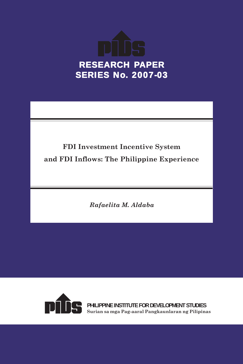

# **FDI Investment Incentive System and FDI Inflows: The Philippine Experience**

*Rafaelita M. Aldaba*



**PHILIPPINE INSTITUTE FOR DEVELOPMENT STUDIES Surian sa mga Pag-aaral Pangkaunlaran ng Pilipinas**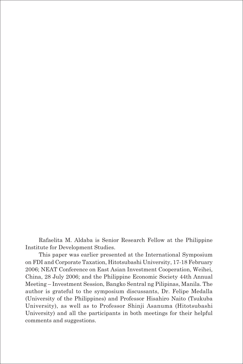Rafaelita M. Aldaba is Senior Research Fellow at the Philippine Institute for Development Studies.

This paper was earlier presented at the International Symposium on FDI and Corporate Taxation, Hitotsubashi University, 17-18 February 2006; NEAT Conference on East Asian Investment Cooperation, Weihei, China, 28 July 2006; and the Philippine Economic Society 44th Annual Meeting – Investment Session, Bangko Sentral ng Pilipinas, Manila. The author is grateful to the symposium discussants, Dr. Felipe Medalla (University of the Philippines) and Professor Hisahiro Naito (Tsukuba University), as well as to Professor Shinji Asanuma (Hitotsubashi University) and all the participants in both meetings for their helpful comments and suggestions.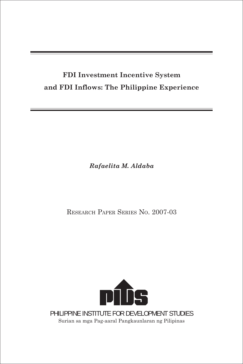## **FDI Investment Incentive System and FDI Inflows: The Philippine Experience**

*Rafaelita M. Aldaba*

RESEARCH PAPER SERIES NO. 2007-03



Surian sa mga Pag-aaral Pangkaunlaran ng Pilipinas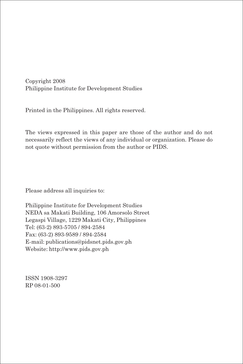Copyright 2008 Philippine Institute for Development Studies

Printed in the Philippines. All rights reserved.

The views expressed in this paper are those of the author and do not necessarily reflect the views of any individual or organization. Please do not quote without permission from the author or PIDS.

Please address all inquiries to:

Philippine Institute for Development Studies NEDA sa Makati Building, 106 Amorsolo Street Legaspi Village, 1229 Makati City, Philippines Tel: (63-2) 893-5705 / 894-2584 Fax: (63-2) 893-9589 / 894-2584 E-mail: publications@pidsnet.pids.gov.ph Website: http://www.pids.gov.ph

ISSN 1908-3297 RP 08-01-500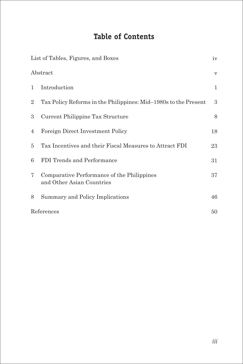# **Table of Contents**

|                | List of Tables, Figures, and Boxes                                      | iv       |
|----------------|-------------------------------------------------------------------------|----------|
|                | Abstract                                                                | $\rm{V}$ |
| $\mathbf{1}$   | Introduction                                                            | 1        |
| $\overline{2}$ | Tax Policy Reforms in the Philippines: Mid-1980s to the Present         | 3        |
| 3              | Current Philippine Tax Structure                                        | $8\,$    |
| 4              | Foreign Direct Investment Policy                                        | 18       |
| 5              | Tax Incentives and their Fiscal Measures to Attract FDI                 | 23       |
| 6              | FDI Trends and Performance                                              | 31       |
| $7^{\circ}$    | Comparative Performance of the Philippines<br>and Other Asian Countries | 37       |
| 8              | Summary and Policy Implications                                         | 46       |
|                | References                                                              | 50       |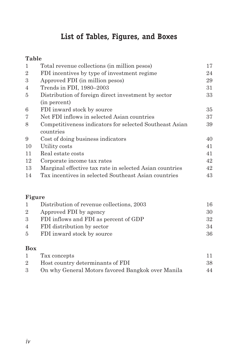# **List of Tables, Figures, and Boxes**

### **Table**

| $\mathbf{1}$   | Total revenue collections (in million pesos)            | 17 |
|----------------|---------------------------------------------------------|----|
| $\overline{2}$ | FDI incentives by type of investment regime             | 24 |
| 3              | Approved FDI (in million pesos)                         | 29 |
| 4              | Trends in FDI, 1980-2003                                | 31 |
| 5              | Distribution of foreign direct investment by sector     | 33 |
|                | (in percent)                                            |    |
| 6              | FDI inward stock by source                              | 35 |
| 7              | Net FDI inflows in selected Asian countries             | 37 |
| 8              | Competitiveness indicators for selected Southeast Asian | 39 |
|                | countries                                               |    |
| 9              | Cost of doing business indicators                       | 40 |
| 10             | Utility costs                                           | 41 |
| 11             | Real estate costs                                       | 41 |
| 12             | Corporate income tax rates                              | 42 |
| 13             | Marginal effective tax rate in selected Asian countries | 42 |
| 14             | Tax incentives in selected Southeast Asian countries    | 43 |
|                |                                                         |    |

#### **Figure**

| Distribution of revenue collections, 2003 | 16 |
|-------------------------------------------|----|
| Approved FDI by agency<br>$2^{\circ}$     | 30 |
| 3 FDI inflows and FDI as percent of GDP   | 32 |
| 4 FDI distribution by sector              | 34 |
| 5 FDI inward stock by source              | 36 |
|                                           |    |

#### **Box**

|             | Tax concepts                                      |    |
|-------------|---------------------------------------------------|----|
| $2^{\circ}$ | Host country determinants of FDI                  | 38 |
| 3           | On why General Motors favored Bangkok over Manila | 44 |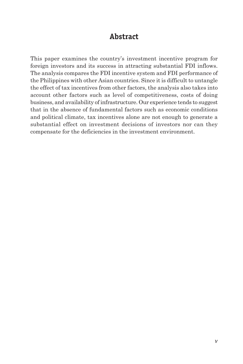### **Abstract**

This paper examines the country's investment incentive program for foreign investors and its success in attracting substantial FDI inflows. The analysis compares the FDI incentive system and FDI performance of the Philippines with other Asian countries. Since it is difficult to untangle the effect of tax incentives from other factors, the analysis also takes into account other factors such as level of competitiveness, costs of doing business, and availability of infrastructure. Our experience tends to suggest that in the absence of fundamental factors such as economic conditions and political climate, tax incentives alone are not enough to generate a substantial effect on investment decisions of investors nor can they compensate for the deficiencies in the investment environment.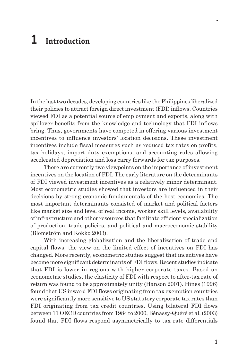# **1 Introduction**

In the last two decades, developing countries like the Philippines liberalized their policies to attract foreign direct investment (FDI) inflows. Countries viewed FDI as a potential source of employment and exports, along with spillover benefits from the knowledge and technology that FDI inflows bring. Thus, governments have competed in offering various investment incentives to influence investors' location decisions. These investment incentives include fiscal measures such as reduced tax rates on profits, tax holidays, import duty exemptions, and accounting rules allowing accelerated depreciation and loss carry forwards for tax purposes.

There are currently two viewpoints on the importance of investment incentives on the location of FDI. The early literature on the determinants of FDI viewed investment incentives as a relatively minor determinant. Most econometric studies showed that investors are influenced in their decisions by strong economic fundamentals of the host economies. The most important determinants consisted of market and political factors like market size and level of real income, worker skill levels, availability of infrastructure and other resources that facilitate efficient specialization of production, trade policies, and political and macroeconomic stability (Blomström and Kokko 2003).

With increasing globalization and the liberalization of trade and capital flows, the view on the limited effect of incentives on FDI has changed. More recently, econometric studies suggest that incentives have become more significant determinants of FDI flows. Recent studies indicate that FDI is lower in regions with higher corporate taxes. Based on econometric studies, the elasticity of FDI with respect to after-tax rate of return was found to be approximately unity (Hanson 2001). Hines (1996) found that US inward FDI flows originating from tax exemption countries were significantly more sensitive to US statutory corporate tax rates than FDI originating from tax credit countries. Using bilateral FDI flows between 11 OECD countries from 1984 to 2000, Bénassy-Quéré et al. (2003) found that FDI flows respond asymmetrically to tax rate differentials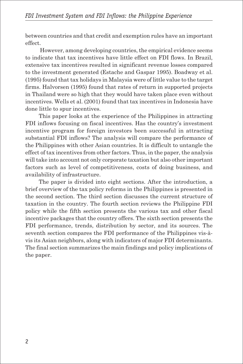between countries and that credit and exemption rules have an important effect.

 However, among developing countries, the empirical evidence seems to indicate that tax incentives have little effect on FDI flows. In Brazil, extensive tax incentives resulted in significant revenue losses compared to the investment generated (Estache and Gaspar 1995). Boadway et al. (1995) found that tax holidays in Malaysia were of little value to the target firms. Halvorsen (1995) found that rates of return in supported projects in Thailand were so high that they would have taken place even without incentives. Wells et al. (2001) found that tax incentives in Indonesia have done little to spur incentives.

This paper looks at the experience of the Philippines in attracting FDI inflows focusing on fiscal incentives. Has the country's investment incentive program for foreign investors been successful in attracting substantial FDI inflows? The analysis will compare the performance of the Philippines with other Asian countries. It is difficult to untangle the effect of tax incentives from other factors. Thus, in the paper, the analysis will take into account not only corporate taxation but also other important factors such as level of competitiveness, costs of doing business, and availability of infrastructure.

The paper is divided into eight sections. After the introduction, a brief overview of the tax policy reforms in the Philippines is presented in the second section. The third section discusses the current structure of taxation in the country. The fourth section reviews the Philippine FDI policy while the fifth section presents the various tax and other fiscal incentive packages that the country offers. The sixth section presents the FDI performance, trends, distribution by sector, and its sources. The seventh section compares the FDI performance of the Philippines vis-àvis its Asian neighbors, along with indicators of major FDI determinants. The final section summarizes the main findings and policy implications of the paper.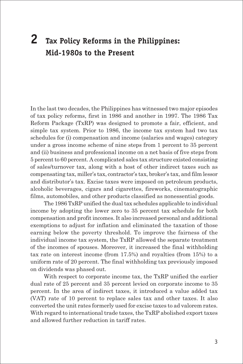# **2 Tax Policy Reforms in the Philippines: Mid-1980s to the Present**

In the last two decades, the Philippines has witnessed two major episodes of tax policy reforms, first in 1986 and another in 1997. The 1986 Tax Reform Package (TxRP) was designed to promote a fair, efficient, and simple tax system. Prior to 1986, the income tax system had two tax schedules for (i) compensation and income (salaries and wages) category under a gross income scheme of nine steps from 1 percent to 35 percent and (ii) business and professional income on a net basis of five steps from 5 percent to 60 percent. A complicated sales tax structure existed consisting of sales/turnover tax, along with a host of other indirect taxes such as compensating tax, miller's tax, contractor's tax, broker's tax, and film lessor and distributor's tax. Excise taxes were imposed on petroleum products, alcoholic beverages, cigars and cigarettes, fireworks, cinematographic films, automobiles, and other products classified as nonessential goods.

The 1986 TxRP unified the dual tax schedules applicable to individual income by adopting the lower zero to 35 percent tax schedule for both compensation and profit incomes. It also increased personal and additional exemptions to adjust for inflation and eliminated the taxation of those earning below the poverty threshold. To improve the fairness of the individual income tax system, the TxRP allowed the separate treatment of the incomes of spouses. Moreover, it increased the final withholding tax rate on interest income (from 17.5%) and royalties (from 15%) to a uniform rate of 20 percent. The final withholding tax previously imposed on dividends was phased out.

With respect to corporate income tax, the TxRP unified the earlier dual rate of 25 percent and 35 percent levied on corporate income to 35 percent. In the area of indirect taxes, it introduced a value added tax (VAT) rate of 10 percent to replace sales tax and other taxes. It also converted the unit rates formerly used for excise taxes to ad valorem rates. With regard to international trade taxes, the TxRP abolished export taxes and allowed further reduction in tariff rates.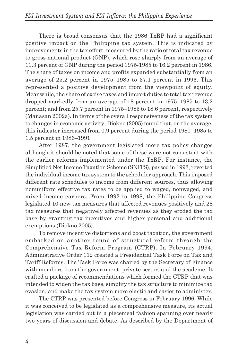There is broad consensus that the 1986 TxRP had a significant positive impact on the Philippine tax system. This is indicated by improvements in the tax effort, measured by the ratio of total tax revenue to gross national product (GNP), which rose sharply from an average of 11.3 percent of GNP during the period 1975-1985 to 16.2 percent in 1986. The share of taxes on income and profits expanded substantially from an average of 25.2 percent in 1975–1985 to 37.1 percent in 1996. This represented a positive development from the viewpoint of equity. Meanwhile, the share of excise taxes and import duties to total tax revenue dropped markedly from an average of 18 percent in 1975–1985 to 13.2 percent; and from 25.7 percent in 1975–1985 to 18.6 percent, respectively (Manasan 2002a). In terms of the overall responsiveness of the tax system to changes in economic activity, Diokno (2005) found that, on the average, this indicator increased from 0.9 percent during the period 1980–1985 to 1.5 percent in 1986–1991.

After 1987, the government legislated more tax policy changes although it should be noted that some of these were not consistent with the earlier reforms implemented under the TxRP. For instance, the Simplified Net Income Taxation Scheme (SNITS), passed in 1992, reverted the individual income tax system to the scheduler approach. This imposed different rate schedules to income from different sources, thus allowing nonuniform effective tax rates to be applied to waged, nonwaged, and mixed income earners. From 1992 to 1998, the Philippine Congress legislated 10 new tax measures that affected revenues positively and 28 tax measures that negatively affected revenues as they eroded the tax base by granting tax incentives and higher personal and additional exemptions (Diokno 2005).

To remove incentive distortions and boost taxation, the government embarked on another round of structural reform through the Comprehensive Tax Reform Program (CTRP). In February 1994, Administrative Order 112 created a Presidential Task Force on Tax and Tariff Reforms. The Task Force was chaired by the Secretary of Finance with members from the government, private sector, and the academe. It crafted a package of recommendations which formed the CTRP that was intended to widen the tax base, simplify the tax structure to minimize tax evasion, and make the tax system more elastic and easier to administer.

The CTRP was presented before Congress in February 1996. While it was conceived to be legislated as a comprehensive measure, its actual legislation was carried out in a piecemeal fashion spanning over nearly two years of discussion and debate. As described by the Department of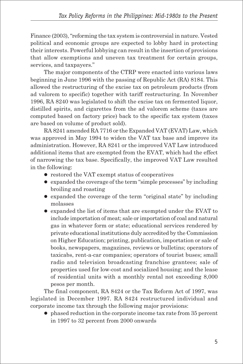Finance (2003), "reforming the tax system is controversial in nature. Vested political and economic groups are expected to lobby hard in protecting their interests. Powerful lobbying can result in the insertion of provisions that allow exemptions and uneven tax treatment for certain groups, services, and taxpayers."

The major components of the CTRP were enacted into various laws beginning in June 1996 with the passing of Republic Act (RA) 8184. This allowed the restructuring of the excise tax on petroleum products (from ad valorem to specific) together with tariff restructuring. In November 1996, RA 8240 was legislated to shift the excise tax on fermented liquor, distilled spirits, and cigarettes from the ad valorem scheme (taxes are computed based on factory price) back to the specific tax system (taxes are based on volume of product sold).

RA 8241 amended RA 7716 or the Expanded VAT (EVAT) Law, which was approved in May 1994 to widen the VAT tax base and improve its administration. However, RA 8241 or the improved VAT Law introduced additional items that are exempted from the EVAT, which had the effect of narrowing the tax base. Specifically, the improved VAT Law resulted in the following:

- restored the VAT exempt status of cooperatives
- expanded the coverage of the term "simple processes" by including broiling and roasting
- expanded the coverage of the term "original state" by including molasses
- expanded the list of items that are exempted under the EVAT to include importation of meat; sale or importation of coal and natural gas in whatever form or state; educational services rendered by private educational institutions duly accredited by the Commission on Higher Education; printing, publication, importation or sale of books, newspapers, magazines, reviews or bulletins; operators of taxicabs, rent-a-car companies; operators of tourist buses; small radio and television broadcasting franchise grantees; sale of properties used for low-cost and socialized housing; and the lease of residential units with a monthly rental not exceeding 8,000 pesos per month.

The final component, RA 8424 or the Tax Reform Act of 1997, was legislated in December 1997. RA 8424 restructured individual and corporate income tax through the following major provisions:

 $\bullet$  phased reduction in the corporate income tax rate from 35 percent in 1997 to 32 percent from 2000 onwards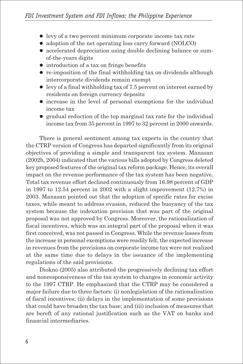- levy of a two percent minimum corporate income tax rate
- adoption of the net operating loss carry forward (NOLCO)
- accelerated depreciation using double declining balance or sumof-the-years digits
- $\bullet$  introduction of a tax on fringe benefits
- $\bullet$  re-imposition of the final withholding tax on dividends although intercorporate dividends remain exempt
- $\bullet$  levy of a final withholding tax of 7.5 percent on interest earned by residents on foreign currency deposits
- increase in the level of personal exemptions for the individual income tax
- $\bullet$  gradual reduction of the top marginal tax rate for the individual income tax from 35 percent in 1997 to 32 percent in 2000 onwards.

There is general sentiment among tax experts in the country that the CTRP version of Congress has departed significantly from its original objectives of providing a simple and transparent tax system. Manasan (2002b, 2004) indicated that the various bills adopted by Congress deleted key proposed features of the original tax reform package. Hence, its overall impact on the revenue performance of the tax system has been negative. Total tax revenue effort declined continuously from 16.98 percent of GDP in 1997 to 12.54 percent in 2002 with a slight improvement (12.7%) in 2003. Manasan pointed out that the adoption of specific rates for excise taxes, while meant to address evasion, reduced the buoyancy of the tax system because the indexation provision that was part of the original proposal was not approved by Congress. Moreover, the rationalization of fiscal incentives, which was an integral part of the proposal when it was first conceived, was not passed in Congress. While the revenue losses from the increase in personal exemptions were readily felt, the expected increase in revenues from the provisions on corporate income tax were not realized at the same time due to delays in the issuance of the implementing regulations of the said provisions.

Diokno (2005) also attributed the progressively declining tax effort and nonresponsiveness of the tax system to changes in economic activity to the 1997 CTRP. He emphasized that the CTRP may be considered a major failure due to three factors: (i) nonlegislation of the rationalization of fiscal incentives; (ii) delays in the implementation of some provisions that could have broaden the tax base; and (iii) inclusion of measures that are bereft of any rational justification such as the VAT on banks and financial intermediaries.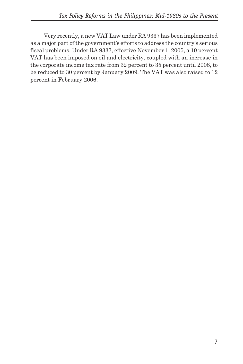Very recently, a new VAT Law under RA 9337 has been implemented as a major part of the government's efforts to address the country's serious fiscal problems. Under RA 9337, effective November 1, 2005, a 10 percent VAT has been imposed on oil and electricity, coupled with an increase in the corporate income tax rate from 32 percent to 35 percent until 2008, to be reduced to 30 percent by January 2009. The VAT was also raised to 12 percent in February 2006.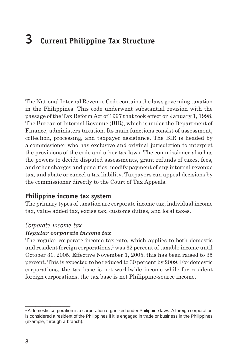# **3 Current Philippine Tax Structure**

The National Internal Revenue Code contains the laws governing taxation in the Philippines. This code underwent substantial revision with the passage of the Tax Reform Act of 1997 that took effect on January 1, 1998. The Bureau of Internal Revenue (BIR), which is under the Department of Finance, administers taxation. Its main functions consist of assessment, collection, processing, and taxpayer assistance. The BIR is headed by a commissioner who has exclusive and original jurisdiction to interpret the provisions of the code and other tax laws. The commissioner also has the powers to decide disputed assessments, grant refunds of taxes, fees, and other charges and penalties, modify payment of any internal revenue tax, and abate or cancel a tax liability. Taxpayers can appeal decisions by the commissioner directly to the Court of Tax Appeals.

#### **Philippine income tax system**

The primary types of taxation are corporate income tax, individual income tax, value added tax, excise tax, customs duties, and local taxes.

#### *Corporate income tax*

 $\_$ 

#### *Regular corporate income tax*

The regular corporate income tax rate, which applies to both domestic and resident foreign corporations,<sup>1</sup> was 32 percent of taxable income until October 31, 2005. Effective November 1, 2005, this has been raised to 35 percent. This is expected to be reduced to 30 percent by 2009. For domestic corporations, the tax base is net worldwide income while for resident foreign corporations, the tax base is net Philippine-source income.

<sup>1</sup> A domestic corporation is a corporation organized under Philippine laws. A foreign corporation is considered a resident of the Philippines if it is engaged in trade or business in the Philippines (example, through a branch).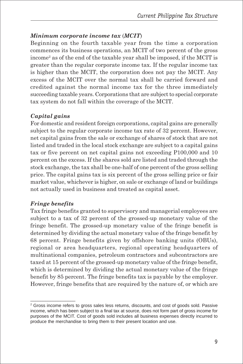#### *Minimum corporate income tax* (*MCIT*)

Beginning on the fourth taxable year from the time a corporation commences its business operations, an MCIT of two percent of the gross income2 as of the end of the taxable year shall be imposed, if the MCIT is greater than the regular corporate income tax. If the regular income tax is higher than the MCIT, the corporation does not pay the MCIT. Any excess of the MCIT over the normal tax shall be carried forward and credited against the normal income tax for the three immediately succeeding taxable years. Corporations that are subject to special corporate tax system do not fall within the coverage of the MCIT.

#### *Capital gains*

For domestic and resident foreign corporations, capital gains are generally subject to the regular corporate income tax rate of 32 percent. However, net capital gains from the sale or exchange of shares of stock that are not listed and traded in the local stock exchange are subject to a capital gains tax or five percent on net capital gains not exceeding P100,000 and 10 percent on the excess. If the shares sold are listed and traded through the stock exchange, the tax shall be one-half of one percent of the gross selling price. The capital gains tax is six percent of the gross selling price or fair market value, whichever is higher, on sale or exchange of land or buildings not actually used in business and treated as capital asset.

#### *Fringe benefits*

 $\_$ 

Tax fringe benefits granted to supervisory and managerial employees are subject to a tax of 32 percent of the grossed-up monetary value of the fringe benefit. The grossed-up monetary value of the fringe benefit is determined by dividing the actual monetary value of the fringe benefit by 68 percent. Fringe benefits given by offshore banking units (OBUs), regional or area headquarters, regional operating headquarters of multinational companies, petroleum contractors and subcontractors are taxed at 15 percent of the grossed-up monetary value of the fringe benefit, which is determined by dividing the actual monetary value of the fringe benefit by 85 percent. The fringe benefits tax is payable by the employer. However, fringe benefits that are required by the nature of, or which are

 $^2$  Gross income refers to gross sales less returns, discounts, and cost of goods sold. Passive income, which has been subject to a final tax at source, does not form part of gross income for purposes of the MCIT. Cost of goods sold includes all business expenses directly incurred to produce the merchandise to bring them to their present location and use.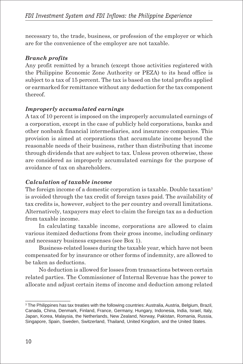necessary to, the trade, business, or profession of the employer or which are for the convenience of the employer are not taxable.

#### *Branch profits*

Any profit remitted by a branch (except those activities registered with the Philippine Economic Zone Authority or PEZA) to its head office is subject to a tax of 15 percent. The tax is based on the total profits applied or earmarked for remittance without any deduction for the tax component thereof.

#### *Improperly accumulated earnings*

A tax of 10 percent is imposed on the improperly accumulated earnings of a corporation, except in the case of publicly held corporations, banks and other nonbank financial intermediaries, and insurance companies. This provision is aimed at corporations that accumulate income beyond the reasonable needs of their business, rather than distributing that income through dividends that are subject to tax. Unless proven otherwise, these are considered as improperly accumulated earnings for the purpose of avoidance of tax on shareholders.

#### *Calculation of taxable income*

The foreign income of a domestic corporation is taxable. Double taxation<sup>3</sup> is avoided through the tax credit of foreign taxes paid. The availability of tax credits is, however, subject to the per country and overall limitations. Alternatively, taxpayers may elect to claim the foreign tax as a deduction from taxable income.

In calculating taxable income, corporations are allowed to claim various itemized deductions from their gross income, including ordinary and necessary business expenses (see Box 1).

Business-related losses during the taxable year, which have not been compensated for by insurance or other forms of indemnity, are allowed to be taken as deductions.

No deduction is allowed for losses from transactions between certain related parties. The Commissioner of Internal Revenue has the power to allocate and adjust certain items of income and deduction among related

 $\_$ 

<sup>&</sup>lt;sup>3</sup> The Philippines has tax treaties with the following countries: Australia, Austria, Belgium, Brazil, Canada, China, Denmark, Finland, France, Germany, Hungary, Indonesia, India, Israel, Italy, Japan, Korea, Malaysia, the Netherlands, New Zealand, Norway, Pakistan, Romania, Russia, Singapore, Spain, Sweden, Switzerland, Thailand, United Kingdom, and the United States.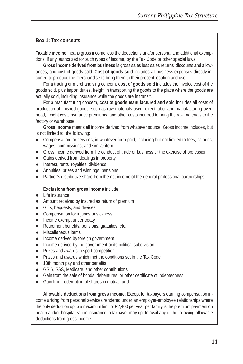#### **Box 1: Tax concepts**

**Taxable income** means gross income less the deductions and/or personal and additional exemptions, if any, authorized for such types of income, by the Tax Code or other special laws.

**Gross income derived from business** is gross sales less sales returns, discounts and allowances, and cost of goods sold. **Cost of goods sold** includes all business expenses directly incurred to produce the merchandise to bring them to their present location and use.

For a trading or merchandising concern, **cost of goods sold** includes the invoice cost of the goods sold, plus import duties, freight in transporting the goods to the place where the goods are actually sold, including insurance while the goods are in transit.

For a manufacturing concern, **cost of goods manufactured and sold** includes all costs of production of finished goods, such as raw materials used, direct labor and manufacturing overhead, freight cost, insurance premiums, and other costs incurred to bring the raw materials to the factory or warehouse.

**Gross income** means all income derived from whatever source. Gross income includes, but is not limited to, the following:

- Compensation for services, in whatever form paid, including but not limited to fees, salaries, wages, commissions, and similar item
- Gross income derived from the conduct of trade or business or the exercise of profession
- Gains derived from dealings in property
- Interest, rents, royalties, dividends
- Annuities, prizes and winnings, pensions
- Partner's distributive share from the net income of the general professional partnerships

#### **Exclusions from gross income** include

- Life insurance
- Amount received by insured as return of premium
- $\bullet$  Gifts, bequests, and devises
- Compensation for injuries or sickness
- Income exempt under treaty
- $\bullet$  Retirement benefits, pensions, gratuities, etc.
- Miscellaneous items
- Income derived by foreign government
- Income derived by the government or its political subdivision
- Prizes and awards in sport competition
- Prizes and awards which met the conditions set in the Tax Code
- 13th month pay and other benefits
- GSIS, SSS, Medicare, and other contributions
- Gain from the sale of bonds, debentures, or other certificate of indebtedness
- Gain from redemption of shares in mutual fund

**Allowable deductions from gross income**: Except for taxpayers earning compensation income arising from personal services rendered under an employer-employee relationships where the only deduction up to a maximum limit of P2,400 per year per family is the premium payment on health and/or hospitalization insurance, a taxpayer may opt to avail any of the following allowable deductions from gross income: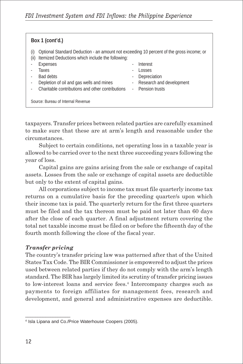| Box 1 (cont'd.)                                                                                                                                             |                                                         |  |  |  |  |  |  |
|-------------------------------------------------------------------------------------------------------------------------------------------------------------|---------------------------------------------------------|--|--|--|--|--|--|
| Optional Standard Deduction - an amount not exceeding 10 percent of the gross income; or<br>(i)<br>Itemized Deductions which include the following:<br>(ii) |                                                         |  |  |  |  |  |  |
| Expenses<br>Taxes                                                                                                                                           | Interest<br>Losses                                      |  |  |  |  |  |  |
| Bad debts<br>Depletion of oil and gas wells and mines<br>$\overline{\phantom{a}}$                                                                           | Depreciation<br>۰<br>Research and development<br>$\sim$ |  |  |  |  |  |  |
| Charitable contributions and other contributions                                                                                                            | - Pension trusts                                        |  |  |  |  |  |  |
| Source: Bureau of Internal Revenue                                                                                                                          |                                                         |  |  |  |  |  |  |

taxpayers. Transfer prices between related parties are carefully examined to make sure that these are at arm's length and reasonable under the circumstances.

Subject to certain conditions, net operating loss in a taxable year is allowed to be carried over to the next three succeeding years following the year of loss.

Capital gains are gains arising from the sale or exchange of capital assets. Losses from the sale or exchange of capital assets are deductible but only to the extent of capital gains.

All corporations subject to income tax must file quarterly income tax returns on a cumulative basis for the preceding quarter/s upon which their income tax is paid. The quarterly return for the first three quarters must be filed and the tax thereon must be paid not later than 60 days after the close of each quarter. A final adjustment return covering the total net taxable income must be filed on or before the fifteenth day of the fourth month following the close of the fiscal year.

#### *Transfer pricing*

 $\_$ 

The country's transfer pricing law was patterned after that of the United States Tax Code. The BIR Commissioner is empowered to adjust the prices used between related parties if they do not comply with the arm's length standard. The BIR has largely limited its scrutiny of transfer pricing issues to low-interest loans and service fees.<sup>4</sup> Intercompany charges such as payments to foreign affiliates for management fees, research and development, and general and administrative expenses are deductible.

<sup>4</sup> Isla Lipana and Co./Price Waterhouse Coopers (2005).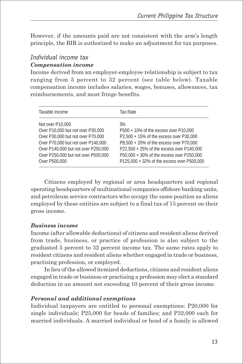However, if the amounts paid are not consistent with the arm's length principle, the BIR is authorized to make an adjustment for tax purposes.

#### *Individual income tax Compensation income*

Income derived from an employer-employee relationship is subject to tax ranging from 5 percent to 32 percent (see table below). Taxable compensation income includes salaries, wages, bonuses, allowances, tax reimbursements, and most fringe benefits.

| Taxable Income                      | Tax Rate                                   |
|-------------------------------------|--------------------------------------------|
| Not over P10,000                    | 5%                                         |
| Over P10,000 but not over P30,000   | P500 + 10% of the excess over P10,000      |
| Over P30,000 but not over P70,000   | P2,500 + 15% of the excess over P30,000    |
| Over P70,000 but not over P140,000  | P8.500 + 20% of the excess over P70.000    |
| Over P140,000 but not over P250,000 | P22,500 + 25% of the excess over P140,000  |
| Over P250,000 but not over P500,000 | P50,000 + 30% of the excess over P250,000  |
| Over P500,000                       | P125,000 + 32% of the excess over P500,000 |

Citizens employed by regional or area headquarters and regional operating headquarters of multinational companies offshore banking units, and petroleum service contractors who occupy the same position as aliens employed by these entities are subject to a final tax of 15 percent on their gross income.

#### *Business income*

Income (after allowable deductions) of citizens and resident aliens derived from trade, business, or practice of profession is also subject to the graduated 5 percent to 32 percent income tax. The same rates apply to resident citizens and resident aliens whether engaged in trade or business, practising profession, or employed.

In lieu of the allowed itemized deductions, citizens and resident aliens engaged in trade or business or practising a profession may elect a standard deduction in an amount not exceeding 10 percent of their gross income.

#### *Personal and additional exemptions*

Individual taxpayers are entitled to personal exemptions: P20,000 for single individuals; P25,000 for heads of families; and P32,000 each for married individuals. A married individual or head of a family is allowed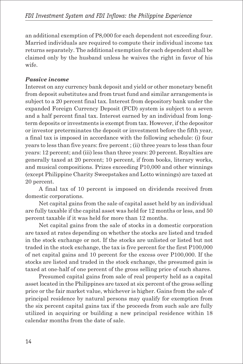an additional exemption of P8,000 for each dependent not exceeding four. Married individuals are required to compute their individual income tax returns separately. The additional exemption for each dependent shall be claimed only by the husband unless he waives the right in favor of his wife.

#### *Passive income*

Interest on any currency bank deposit and yield or other monetary benefit from deposit substitutes and from trust fund and similar arrangements is subject to a 20 percent final tax. Interest from depository bank under the expanded Foreign Currency Deposit (FCD) system is subject to a seven and a half percent final tax. Interest earned by an individual from longterm deposits or investments is exempt from tax. However, if the depositor or investor preterminates the deposit or investment before the fifth year, a final tax is imposed in accordance with the following schedule: (i) four years to less than five years: five percent ; (ii) three years to less than four years: 12 percent; and (iii) less than three years: 20 percent. Royalties are generally taxed at 20 percent; 10 percent, if from books, literary works, and musical compositions. Prizes exceeding P10,000 and other winnings (except Philippine Charity Sweepstakes and Lotto winnings) are taxed at 20 percent.

A final tax of 10 percent is imposed on dividends received from domestic corporations.

Net capital gains from the sale of capital asset held by an individual are fully taxable if the capital asset was held for 12 months or less, and 50 percent taxable if it was held for more than 12 months.

Net capital gains from the sale of stocks in a domestic corporation are taxed at rates depending on whether the stocks are listed and traded in the stock exchange or not. If the stocks are unlisted or listed but not traded in the stock exchange, the tax is five percent for the first P100,000 of net capital gains and 10 percent for the excess over P100,000. If the stocks are listed and traded in the stock exchange, the presumed gain is taxed at one-half of one percent of the gross selling price of such shares.

Presumed capital gains from sale of real property held as a capital asset located in the Philippines are taxed at six percent of the gross selling price or the fair market value, whichever is higher. Gains from the sale of principal residence by natural persons may qualify for exemption from the six percent capital gains tax if the proceeds from such sale are fully utilized in acquiring or building a new principal residence within 18 calendar months from the date of sale.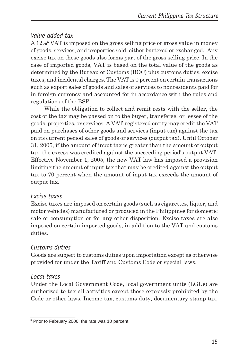#### *Value added tax*

A 12%5 VAT is imposed on the gross selling price or gross value in money of goods, services, and properties sold, either bartered or exchanged. Any excise tax on these goods also forms part of the gross selling price. In the case of imported goods, VAT is based on the total value of the goods as determined by the Bureau of Customs (BOC) plus customs duties, excise taxes, and incidental charges. The VAT is 0 percent on certain transactions such as export sales of goods and sales of services to nonresidents paid for in foreign currency and accounted for in accordance with the rules and regulations of the BSP.

While the obligation to collect and remit rests with the seller, the cost of the tax may be passed on to the buyer, transferee, or lessee of the goods, properties, or services. A VAT-registered entity may credit the VAT paid on purchases of other goods and services (input tax) against the tax on its current period sales of goods or services (output tax). Until October 31, 2005, if the amount of input tax is greater than the amount of output tax, the excess was credited against the succeeding period's output VAT. Effective November 1, 2005, the new VAT law has imposed a provision limiting the amount of input tax that may be credited against the output tax to 70 percent when the amount of input tax exceeds the amount of output tax.

### *Excise taxes*

Excise taxes are imposed on certain goods (such as cigarettes, liquor, and motor vehicles) manufactured or produced in the Philippines for domestic sale or consumption or for any other disposition. Excise taxes are also imposed on certain imported goods, in addition to the VAT and customs duties.

### *Customs duties*

Goods are subject to customs duties upon importation except as otherwise provided for under the Tariff and Customs Code or special laws.

### *Local taxes*

\_\_\_\_\_\_\_\_\_\_\_\_\_\_\_\_\_\_

Under the Local Government Code, local government units (LGUs) are authorized to tax all activities except those expressly prohibited by the Code or other laws. Income tax, customs duty, documentary stamp tax,

<sup>5</sup> Prior to February 2006, the rate was 10 percent.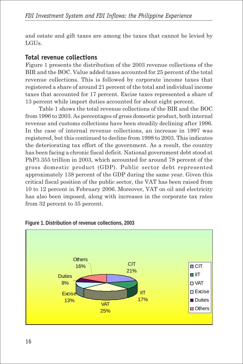and estate and gift taxes are among the taxes that cannot be levied by LGUs.

### **Total revenue collections**

Figure 1 presents the distribution of the 2003 revenue collections of the BIR and the BOC. Value added taxes accounted for 25 percent of the total revenue collections. This is followed by corporate income taxes that registered a share of around 21 percent of the total and individual income taxes that accounted for 17 percent. Excise taxes represented a share of 13 percent while import duties accounted for about eight percent.

Table 1 shows the total revenue collections of the BIR and the BOC from 1996 to 2003. As percentages of gross domestic product, both internal revenue and customs collections have been steadily declining after 1996. In the case of internal revenue collections, an increase in 1997 was registered, but this continued to decline from 1998 to 2003. This indicates the deteriorating tax effort of the government. As a result, the country has been facing a chronic fiscal deficit. National government debt stood at PhP3.355 trillion in 2003, which accounted for around 78 percent of the gross domestic product (GDP). Public sector debt represented approximately 138 percent of the GDP during the same year. Given this critical fiscal position of the public sector, the VAT has been raised from 10 to 12 percent in February 2006. Moreover, VAT on oil and electricity has also been imposed, along with increases in the corporate tax rates from 32 percent to 35 percent.



**Figure 1. Distribution of revenue collections, 2003**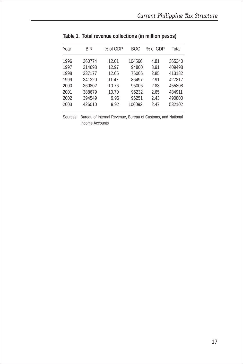| Year | BIR    | % of GDP | BOC.   | % of GDP | Total  |
|------|--------|----------|--------|----------|--------|
| 1996 | 260774 | 12.01    | 104566 | 4.81     | 365340 |
| 1997 | 314698 | 12.97    | 94800  | 3.91     | 409498 |
| 1998 | 337177 | 12.65    | 76005  | 2.85     | 413182 |
| 1999 | 341320 | 11.47    | 86497  | 2.91     | 427817 |
| 2000 | 360802 | 10.76    | 95006  | 2.83     | 455808 |
| 2001 | 388679 | 10.70    | 96232  | 2.65     | 484911 |
| 2002 | 394549 | 9.96     | 96251  | 2.43     | 490800 |
| 2003 | 426010 | 9.92     | 106092 | 2.47     | 532102 |
|      |        |          |        |          |        |

**Table 1. Total revenue collections (in million pesos)**

Sources: Bureau of Internal Revenue, Bureau of Customs, and National Income Accounts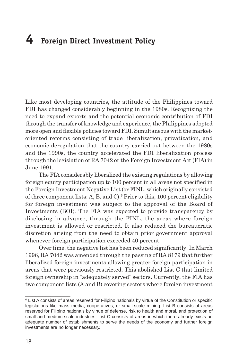# **4 Foreign Direct Investment Policy**

Like most developing countries, the attitude of the Philippines toward FDI has changed considerably beginning in the 1980s. Recognizing the need to expand exports and the potential economic contribution of FDI through the transfer of knowledge and experience, the Philippines adopted more open and flexible policies toward FDI. Simultaneous with the marketoriented reforms consisting of trade liberalization, privatization, and economic deregulation that the country carried out between the 1980s and the 1990s, the country accelerated the FDI liberalization process through the legislation of RA 7042 or the Foreign Investment Act (FIA) in June 1991.

The FIA considerably liberalized the existing regulations by allowing foreign equity participation up to 100 percent in all areas not specified in the Foreign Investment Negative List (or FINL, which originally consisted of three component lists: A, B, and C).6 Prior to this, 100 percent eligibility for foreign investment was subject to the approval of the Board of Investments (BOI). The FIA was expected to provide transparency by disclosing in advance, through the FINL, the areas where foreign investment is allowed or restricted. It also reduced the bureaucratic discretion arising from the need to obtain prior government approval whenever foreign participation exceeded 40 percent.

Over time, the negative list has been reduced significantly. In March 1996, RA 7042 was amended through the passing of RA 8179 that further liberalized foreign investments allowing greater foreign participation in areas that were previously restricted. This abolished List C that limited foreign ownership in "adequately served" sectors. Currently, the FIA has two component lists (A and B) covering sectors where foreign investment

 $\_$ 

<sup>&</sup>lt;sup>6</sup> List A consists of areas reserved for Filipino nationals by virtue of the Constitution or specific legislations like mass media, cooperatives, or small-scale mining. List B consists of areas reserved for Filipino nationals by virtue of defense, risk to health and moral, and protection of small and medium-scale industries. List C consists of areas in which there already exists an adequate number of establishments to serve the needs of the economy and further foreign investments are no longer necessary.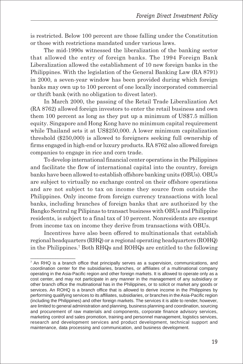is restricted. Below 100 percent are those falling under the Constitution or those with restrictions mandated under various laws.

The mid-1990s witnessed the liberalization of the banking sector that allowed the entry of foreign banks. The 1994 Foreign Bank Liberalization allowed the establishment of 10 new foreign banks in the Philippines. With the legislation of the General Banking Law (RA 8791) in 2000, a seven-year window has been provided during which foreign banks may own up to 100 percent of one locally incorporated commercial or thrift bank (with no obligation to divest later).

In March 2000, the passing of the Retail Trade Liberalization Act (RA 8762) allowed foreign investors to enter the retail business and own them 100 percent as long as they put up a minimum of US\$7.5 million equity. Singapore and Hong Kong have no minimum capital requirement while Thailand sets it at US\$250,000. A lower minimum capitalization threshold (\$250,000) is allowed to foreigners seeking full ownership of firms engaged in high-end or luxury products. RA 8762 also allowed foreign companies to engage in rice and corn trade.

To develop international financial center operations in the Philippines and facilitate the flow of international capital into the country, foreign banks have been allowed to establish offshore banking units (OBUs). OBUs are subject to virtually no exchange control on their offshore operations and are not subject to tax on income they source from outside the Philippines. Only income from foreign currency transactions with local banks, including branches of foreign banks that are authorized by the Bangko Sentral ng Pilipinas to transact business with OBUs and Philippine residents, is subject to a final tax of 10 percent. Nonresidents are exempt from income tax on income they derive from transactions with OBUs.

Incentives have also been offered to multinationals that establish regional headquarters (RHQ) or a regional operating headquarters (ROHQ) in the Philippines.7 Both RHQs and ROHQs are entitled to the following

 $\_$ 

<sup>7</sup> An RHQ is a branch office that principally serves as a supervision, communications, and coordination center for the subsidiaries, branches, or affiliates of a multinational company operating in the Asia-Pacific region and other foreign markets. It is allowed to operate only as a cost center, and may not participate in any manner in the management of any subsidiary or other branch office the multinational has in the Philippines, or to solicit or market any goods or services. An ROHQ is a branch office that is allowed to derive income in the Philippines by performing qualifying services to its affiliates, subsidiaries, or branches in the Asia-Pacific region (including the Philippines) and other foreign markets. The services it is able to render, however, are limited to general administration and planning, business planning and coordination, sourcing and procurement of raw materials and components, corporate finance advisory services, marketing control and sales promotion, training and personnel management, logistics services, research and development services and product development, technical support and maintenance, data processing and communication, and business development.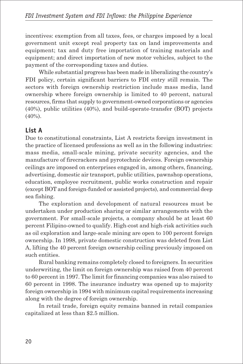incentives: exemption from all taxes, fees, or charges imposed by a local government unit except real property tax on land improvements and equipment; tax and duty free importation of training materials and equipment; and direct importation of new motor vehicles, subject to the payment of the corresponding taxes and duties.

While substantial progress has been made in liberalizing the country's FDI policy, certain significant barriers to FDI entry still remain. The sectors with foreign ownership restriction include mass media, land ownership where foreign ownership is limited to 40 percent, natural resources, firms that supply to government-owned corporations or agencies (40%), public utilities (40%), and build-operate-transfer (BOT) projects (40%).

### **List A**

Due to constitutional constraints, List A restricts foreign investment in the practice of licensed professions as well as in the following industries: mass media, small-scale mining, private security agencies, and the manufacture of firecrackers and pyrotechnic devices. Foreign ownership ceilings are imposed on enterprises engaged in, among others, financing, advertising, domestic air transport, public utilities, pawnshop operations, education, employee recruitment, public works construction and repair (except BOT and foreign-funded or assisted projects), and commercial deep sea fishing.

The exploration and development of natural resources must be undertaken under production sharing or similar arrangements with the government. For small-scale projects, a company should be at least 60 percent Filipino-owned to qualify. High-cost and high-risk activities such as oil exploration and large-scale mining are open to 100 percent foreign ownership. In 1998, private domestic construction was deleted from List A, lifting the 40 percent foreign ownership ceiling previously imposed on such entities.

Rural banking remains completely closed to foreigners. In securities underwriting, the limit on foreign ownership was raised from 40 percent to 60 percent in 1997. The limit for financing companies was also raised to 60 percent in 1998. The insurance industry was opened up to majority foreign ownership in 1994 with minimum capital requirements increasing along with the degree of foreign ownership.

In retail trade, foreign equity remains banned in retail companies capitalized at less than \$2.5 million.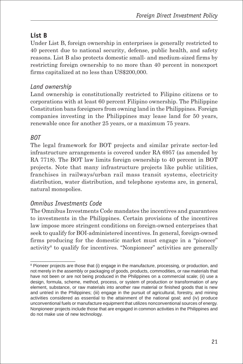## **List B**

Under List B, foreign ownership in enterprises is generally restricted to 40 percent due to national security, defense, public health, and safety reasons. List B also protects domestic small- and medium-sized firms by restricting foreign ownership to no more than 40 percent in nonexport firms capitalized at no less than US\$200,000.

### *Land ownership*

Land ownership is constitutionally restricted to Filipino citizens or to corporations with at least 60 percent Filipino ownership. The Philippine Constitution bans foreigners from owning land in the Philippines. Foreign companies investing in the Philippines may lease land for 50 years, renewable once for another 25 years, or a maximum 75 years.

### *BOT*

The legal framework for BOT projects and similar private sector-led infrastructure arrangements is covered under RA 6957 (as amended by RA 7718). The BOT law limits foreign ownership to 40 percent in BOT projects. Note that many infrastructure projects like public utilities, franchises in railways/urban rail mass transit systems, electricity distribution, water distribution, and telephone systems are, in general, natural monopolies.

### *Omnibus Investments Code*

\_\_\_\_\_\_\_\_\_\_\_\_\_\_\_\_\_\_

The Omnibus Investments Code mandates the incentives and guarantees to investments in the Philippines. Certain provisions of the incentives law impose more stringent conditions on foreign-owned enterprises that seek to qualify for BOI-administered incentives. In general, foreign-owned firms producing for the domestic market must engage in a "pioneer" activity<sup>8</sup> to qualify for incentives. "Nonpioneer" activities are generally

<sup>&</sup>lt;sup>8</sup> Pioneer projects are those that (i) engage in the manufacture, processing, or production, and not merely in the assembly or packaging of goods, products, commodities, or raw materials that have not been or are not being produced in the Philippines on a commercial scale; (ii) use a design, formula, scheme, method, process, or system of production or transformation of any element, substance, or raw materials into another raw material or finished goods that is new and untried in the Philippines; (iii) engage in the pursuit of agricultural, forestry, and mining activities considered as essential to the attainment of the national goal; and (iv) produce unconventional fuels or manufacture equipment that utilizes nonconventional sources of energy. Nonpioneer projects include those that are engaged in common activities in the Philippines and do not make use of new technology.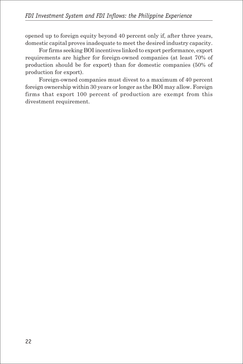opened up to foreign equity beyond 40 percent only if, after three years, domestic capital proves inadequate to meet the desired industry capacity.

For firms seeking BOI incentives linked to export performance, export requirements are higher for foreign-owned companies (at least 70% of production should be for export) than for domestic companies (50% of production for export).

Foreign-owned companies must divest to a maximum of 40 percent foreign ownership within 30 years or longer as the BOI may allow. Foreign firms that export 100 percent of production are exempt from this divestment requirement.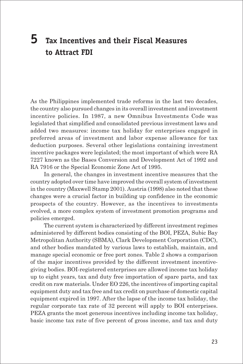# **5 Tax Incentives and their Fiscal Measures to Attract FDI**

As the Philippines implemented trade reforms in the last two decades, the country also pursued changes in its overall investment and investment incentive policies. In 1987, a new Omnibus Investments Code was legislated that simplified and consolidated previous investment laws and added two measures: income tax holiday for enterprises engaged in preferred areas of investment and labor expense allowance for tax deduction purposes. Several other legislations containing investment incentive packages were legislated; the most important of which were RA 7227 known as the Bases Conversion and Development Act of 1992 and RA 7916 or the Special Economic Zone Act of 1995.

In general, the changes in investment incentive measures that the country adopted over time have improved the overall system of investment in the country (Maxwell Stamp 2001). Austria (1998) also noted that these changes were a crucial factor in building up confidence in the economic prospects of the country. However, as the incentives to investments evolved, a more complex system of investment promotion programs and policies emerged.

The current system is characterized by different investment regimes administered by different bodies consisting of the BOI, PEZA, Subic Bay Metropolitan Authority (SBMA), Clark Development Corporation (CDC), and other bodies mandated by various laws to establish, maintain, and manage special economic or free port zones. Table 2 shows a comparison of the major incentives provided by the different investment incentivegiving bodies. BOI-registered enterprises are allowed income tax holiday up to eight years, tax and duty free importation of spare parts, and tax credit on raw materials. Under EO 226, the incentives of importing capital equipment duty and tax free and tax credit on purchase of domestic capital equipment expired in 1997. After the lapse of the income tax holiday, the regular corporate tax rate of 32 percent will apply to BOI enterprises. PEZA grants the most generous incentives including income tax holiday, basic income tax rate of five percent of gross income, and tax and duty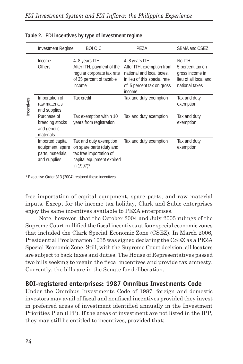|           | <b>Investment Regime</b>                                                  | <b>BOI OIC</b>                                                                                                          | PEZA                                                                                                                          | SBMA and CSEZ                                                                  |
|-----------|---------------------------------------------------------------------------|-------------------------------------------------------------------------------------------------------------------------|-------------------------------------------------------------------------------------------------------------------------------|--------------------------------------------------------------------------------|
| ncentives | Income                                                                    | 4-8 years ITH                                                                                                           | 4-8 years ITH                                                                                                                 | No ITH                                                                         |
|           | Others                                                                    | After ITH, payment of the<br>regular corporate tax rate<br>of 35 percent of taxable<br><i>income</i>                    | After ITH, exemption from<br>national and local taxes.<br>in lieu of this special rate<br>of 5 percent tax on gross<br>income | 5 percent tax on<br>gross income in<br>lieu of all local and<br>national taxes |
|           | Importation of<br>raw materials<br>and supplies                           | Tax credit                                                                                                              | Tax and duty exemption                                                                                                        | Tax and duty<br>exemption                                                      |
|           | Purchase of<br>breeding stocks<br>and genetic<br>materials                | Tax exemption within 10<br>years from registration                                                                      | Tax and duty exemption                                                                                                        | Tax and duty<br>exemption                                                      |
|           | Imported capital<br>equipment, spare<br>parts, materials,<br>and supplies | Tax and duty exemption<br>on spare parts (duty and<br>tax free importation of<br>capital equipment expired<br>in 1997)* | Tax and duty exemption                                                                                                        | Tax and duty<br>exemption                                                      |

#### **Table 2. FDI incentives by type of investment regime**

\* Executive Order 313 (2004) restored these incentives.

free importation of capital equipment, spare parts, and raw material inputs. Except for the income tax holiday, Clark and Subic enterprises enjoy the same incentives available to PEZA enterprises.

Note, however, that the October 2004 and July 2005 rulings of the Supreme Court nullified the fiscal incentives at four special economic zones that included the Clark Special Economic Zone (CSEZ). In March 2006, Presidential Proclamation 1035 was signed declaring the CSEZ as a PEZA Special Economic Zone. Still, with the Supreme Court decision, all locators are subject to back taxes and duties. The House of Representatives passed two bills seeking to regain the fiscal incentives and provide tax amnesty. Currently, the bills are in the Senate for deliberation.

#### **BOI-registered enterprises: 1987 Omnibus Investments Code**

Under the Omnibus Investments Code of 1987, foreign and domestic investors may avail of fiscal and nonfiscal incentives provided they invest in preferred areas of investment identified annually in the Investment Priorities Plan (IPP). If the areas of investment are not listed in the IPP, they may still be entitled to incentives, provided that: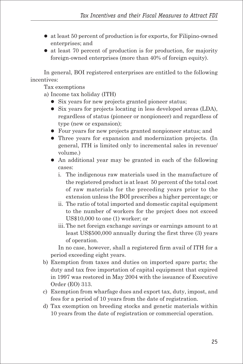- $\bullet$  at least 50 percent of production is for exports, for Filipino-owned enterprises; and
- at least 70 percent of production is for production, for majority foreign-owned enterprises (more than 40% of foreign equity).

In general, BOI registered enterprises are entitled to the following incentives:

Tax exemptions

- a) Income tax holiday (ITH)
	- Six years for new projects granted pioneer status;
	- $\bullet$  Six years for projects locating in less developed areas (LDA), regardless of status (pioneer or nonpioneer) and regardless of type (new or expansion);
	- Four years for new projects granted nonpioneer status; and
	- Three years for expansion and modernization projects. (In general, ITH is limited only to incremental sales in revenue/ volume.)
	- An additional year may be granted in each of the following cases:
		- i. The indigenous raw materials used in the manufacture of the registered product is at least 50 percent of the total cost of raw materials for the preceding years prior to the extension unless the BOI prescribes a higher percentage; or
		- ii. The ratio of total imported and domestic capital equipment to the number of workers for the project does not exceed US\$10,000 to one (1) worker; or
		- iii. The net foreign exchange savings or earnings amount to at least US\$500,000 annually during the first three (3) years of operation.

In no case, however, shall a registered firm avail of ITH for a period exceeding eight years.

- b) Exemption from taxes and duties on imported spare parts; the duty and tax free importation of capital equipment that expired in 1997 was restored in May 2004 with the issuance of Executive Order (EO) 313.
- c) Exemption from wharfage dues and export tax, duty, impost, and fees for a period of 10 years from the date of registration.
- d) Tax exemption on breeding stocks and genetic materials within 10 years from the date of registration or commercial operation.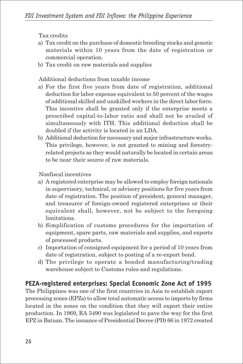Tax credits

- a) Tax credit on the purchase of domestic breeding stocks and genetic materials within 10 years from the date of registration or commercial operation.
- b) Tax credit on raw materials and supplies

Additional deductions from taxable income

- a) For the first five years from date of registration, additional deduction for labor expense equivalent to 50 percent of the wages of additional skilled and unskilled workers in the direct labor force. This incentive shall be granted only if the enterprise meets a prescribed capital-to-labor ratio and shall not be availed of simultaneously with ITH. This additional deduction shall be doubled if the activity is located in an LDA.
- b) Additional deduction for necessary and major infrastructure works. This privilege, however, is not granted to mining and forestryrelated projects as they would naturally be located in certain areas to be near their source of raw materials.

Nonfiscal incentives

- a) A registered enterprise may be allowed to employ foreign nationals in supervisory, technical, or advisory positions for five years from date of registration. The position of president, general manager, and treasurer of foreign-owned registered enterprises or their equivalent shall, however, not be subject to the foregoing limitations.
- b) Simplification of customs procedures for the importation of equipment, spare parts, raw materials and supplies, and exports of processed products.
- c) Importation of consigned equipment for a period of 10 years from date of registration, subject to posting of a re-export bond.
- d) The privilege to operate a bonded manufacturing/trading warehouse subject to Customs rules and regulations.

### **PEZA-registered enterprises: Special Economic Zone Act of 1995**

The Philippines was one of the first countries in Asia to establish export processing zones (EPZs) to allow total automatic access to imports by firms located in the zones on the condition that they will export their entire production. In 1969, RA 5490 was legislated to pave the way for the first EPZ in Bataan. The issuance of Presidential Decree (PD) 66 in 1972 created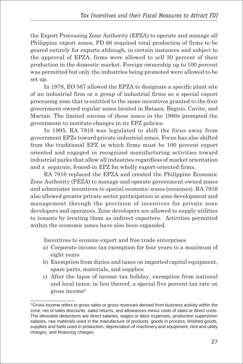the Export Processing Zone Authority (EPZA) to operate and manage all Philippine export zones. PD 66 required total production of firms to be geared entirely for exports although, in certain instances and subject to the approval of EPZA, firms were allowed to sell 30 percent of their production in the domestic market. Foreign ownership up to 100 percent was permitted but only the industries being promoted were allowed to be set up.

In 1979, EO 567 allowed the EPZA to designate a specific plant site of an industrial firm or a group of industrial firms as a special export processing zone that is entitled to the same incentives granted to the four government-owned regular zones located in Bataan, Baguio, Cavite, and Mactan. The limited success of these zones in the 1980s prompted the government to institute changes in its EPZ policies.

In 1995, RA 7916 was legislated to shift the focus away from government EPZs toward private industrial zones. Focus has also shifted from the traditional EPZ in which firms must be 100 percent export oriented and engaged in recognized manufacturing activities toward industrial parks that allow all industries regardless of market orientation and a separate, fenced-in EPZ for wholly export-oriented firms.

RA 7916 replaced the EPZA and created the Philippine Economic Zone Authority (PEZA) to manage and operate government-owned zones and administer incentives to special economic zones (ecozones). RA 7916 also allowed greater private sector participation in zone development and management through the provision of incentives for private zone developers and operators. Zone developers are allowed to supply utilities to tenants by treating them as indirect exporters. Activities permitted within the economic zones have also been expanded.

Incentives to ecozone export and free trade enterprises

 $\_$ 

- a) Corporate income tax exemption for four years to a maximum of eight years
- b) Exemption from duties and taxes on imported capital equipment, spare parts, materials, and supplies
- c) After the lapse of income tax holiday, exemption from national and local taxes; in lieu thereof, a special five percent tax rate on gross income<sup>9</sup>

<sup>&</sup>lt;sup>9</sup> Gross income refers to gross sales or gross revenues derived from business activity within the zone, net of sales discounts, sales returns, and allowances minus costs of sales or direct costs. The allowable deductions are direct salaries, wages or labor expenses, production supervision salaries, raw materials used in the manufacture of products, goods in process, finished goods, supplies and fuels used in production, depreciation of machinery and equipment, rent and utility charges, and financing charges.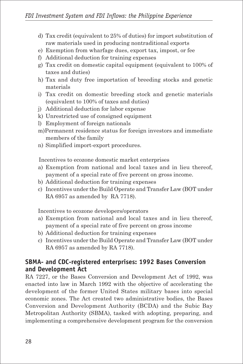- d) Tax credit (equivalent to 25% of duties) for import substitution of raw materials used in producing nontraditional exports
- e) Exemption from wharfage dues, export tax, impost, or fee
- f) Additional deduction for training expenses
- g) Tax credit on domestic capital equipment (equivalent to 100% of taxes and duties)
- h) Tax and duty free importation of breeding stocks and genetic materials
- i) Tax credit on domestic breeding stock and genetic materials (equivalent to 100% of taxes and duties)
- j) Additional deduction for labor expense
- k) Unrestricted use of consigned equipment
- l) Employment of foreign nationals
- m)Permanent residence status for foreign investors and immediate members of the family
- n) Simplified import-export procedures.

Incentives to ecozone domestic market enterprises

- a) Exemption from national and local taxes and in lieu thereof, payment of a special rate of five percent on gross income.
- b) Additional deduction for training expenses
- c) Incentives under the Build Operate and Transfer Law (BOT under RA 6957 as amended by RA 7718).

Incentives to ecozone developers/operators

- a) Exemption from national and local taxes and in lieu thereof, payment of a special rate of five percent on gross income
- b) Additional deduction for training expenses
- c) Incentives under the Build Operate and Transfer Law (BOT under RA 6957 as amended by RA 7718).

#### **SBMA- and CDC-registered enterprises: 1992 Bases Conversion and Development Act**

RA 7227, or the Bases Conversion and Development Act of 1992, was enacted into law in March 1992 with the objective of accelerating the development of the former United States military bases into special economic zones. The Act created two administrative bodies, the Bases Conversion and Development Authority (BCDA) and the Subic Bay Metropolitan Authority (SBMA), tasked with adopting, preparing, and implementing a comprehensive development program for the conversion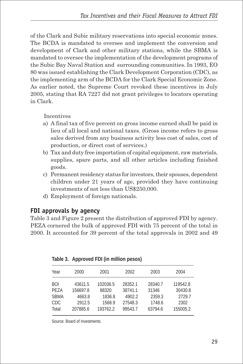of the Clark and Subic military reservations into special economic zones. The BCDA is mandated to oversee and implement the conversion and development of Clark and other military stations, while the SBMA is mandated to oversee the implementation of the development programs of the Subic Bay Naval Station and surrounding communities. In 1993, EO 80 was issued establishing the Clark Development Corporation (CDC), as the implementing arm of the BCDA for the Clark Special Economic Zone. As earlier noted, the Supreme Court revoked these incentives in July 2005, stating that RA 7227 did not grant privileges to locators operating in Clark.

Incentives

- a) A final tax of five percent on gross income earned shall be paid in lieu of all local and national taxes. (Gross income refers to gross sales derived from any business activity less cost of sales, cost of production, or direct cost of services.)
- b) Tax and duty free importation of capital equipment, raw materials, supplies, spare parts, and all other articles including finished goods.
- c) Permanent residency status for investors, their spouses, dependent children under 21 years of age, provided they have continuing investments of not less than US\$250,000.
- d) Employment of foreign nationals.

### **FDI approvals by agency**

Table 3 and Figure 2 present the distribution of approved FDI by agency. PEZA cornered the bulk of approved FDI with 75 percent of the total in 2000. It accounted for 39 percent of the total approvals in 2002 and 49

| Year        | 2000     | 2001     | 2002    | 2003    | 2004     |
|-------------|----------|----------|---------|---------|----------|
| BOI         | 43611.5  | 102036.5 | 28352.1 | 28340.7 | 119542.8 |
| PEZA        | 156697.8 | 88320    | 38741.1 | 31346   | 30430.8  |
| <b>SBMA</b> | 4663.8   | 1836.8   | 4902.2  | 2359.3  | 2729.7   |
| CDC         | 2912.5   | 1568.9   | 27548.3 | 1748.6  | 2302     |
| Total       | 207885.6 | 193762.2 | 99543.7 | 63794.6 | 155005.2 |

|  | Table 3. Approved FDI (in million pesos) |  |  |  |
|--|------------------------------------------|--|--|--|
|--|------------------------------------------|--|--|--|

Source: Board of Investments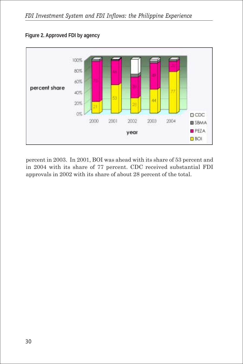

**Figure 2. Approved FDI by agency**

percent in 2003. In 2001, BOI was ahead with its share of 53 percent and in 2004 with its share of 77 percent. CDC received substantial FDI approvals in 2002 with its share of about 28 percent of the total.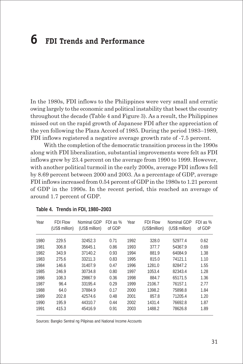# **6 FDI Trends and Performance**

In the 1980s, FDI inflows to the Philippines were very small and erratic owing largely to the economic and political instability that beset the country throughout the decade (Table 4 and Figure 3). As a result, the Philippines missed out on the rapid growth of Japanese FDI after the appreciation of the yen following the Plaza Accord of 1985. During the period 1983–1989, FDI inflows registered a negative average growth rate of -7.5 percent.

With the completion of the democratic transition process in the 1990s along with FDI liberalization, substantial improvements were felt as FDI inflows grew by 23.4 percent on the average from 1990 to 1999. However, with another political turmoil in the early 2000s, average FDI inflows fell by 8.69 percent between 2000 and 2003. As a percentage of GDP, average FDI inflows increased from 0.54 percent of GDP in the 1980s to 1.21 percent of GDP in the 1990s. In the recent period, this reached an average of around 1.7 percent of GDP.

| Year | <b>FDI Flow</b><br>(US\$ million) | Nominal GDP<br>(US\$ million) | FDI as %<br>of GDP | Year | <b>FDI Flow</b><br>(US\$million) | Nominal GDP<br>(US\$ million) | FDI as %<br>of GDP |
|------|-----------------------------------|-------------------------------|--------------------|------|----------------------------------|-------------------------------|--------------------|
| 1980 | 229.5                             | 32452.3                       | 0.71               | 1992 | 328.0                            | 52977.4                       | 0.62               |
| 1981 | 306.8                             | 35645.1                       | 0.86               | 1993 | 377.7                            | 54367.9                       | 0.69               |
| 1982 | 343.9                             | 37140.2                       | 0.93               | 1994 | 881.9                            | 64084.9                       | 1.38               |
| 1983 | 275.6                             | 33211.3                       | 0.83               | 1995 | 815.0                            | 74121.1                       | 1.10               |
| 1984 | 146.6                             | 31407.9                       | 0.47               | 1996 | 1281.0                           | 82847.2                       | 1.55               |
| 1985 | 246.9                             | 30734.8                       | 0.80               | 1997 | 1053.4                           | 82343.4                       | 1.28               |
| 1986 | 108.3                             | 29867.9                       | 0.36               | 1998 | 884.7                            | 65171.5                       | 1.36               |
| 1987 | 96.4                              | 33195.4                       | 0.29               | 1999 | 2106.7                           | 76157.1                       | 2.77               |
| 1988 | 64.0                              | 37884.9                       | 0.17               | 2000 | 1398.2                           | 75898.8                       | 1.84               |
| 1989 | 202.8                             | 42574.6                       | 0.48               | 2001 | 857.8                            | 71205.4                       | 1.20               |
| 1990 | 195.9                             | 44310.7                       | 0.44               | 2002 | 1431.4                           | 76692.8                       | 1.87               |
| 1991 | 415.3                             | 45416.9                       | 0.91               | 2003 | 1488.2                           | 78626.8                       | 1.89               |

**Table 4. Trends in FDI, 1980–2003**

Sources: Bangko Sentral ng Pilipinas and National Income Accounts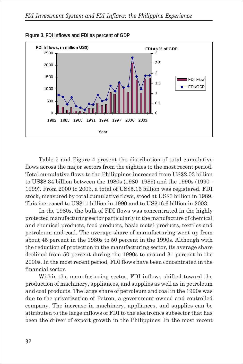



Table 5 and Figure 4 present the distribution of total cumulative flows across the major sectors from the eighties to the most recent period. Total cumulative flows to the Philippines increased from US\$2.03 billion to US\$8.34 billion between the 1980s (1980–1989) and the 1990s (1990– 1999). From 2000 to 2003, a total of US\$5.16 billion was registered. FDI stock, measured by total cumulative flows, stood at US\$3 billion in 1989. This increased to US\$11 billion in 1990 and to US\$16.6 billion in 2003.

In the 1980s, the bulk of FDI flows was concentrated in the highly protected manufacturing sector particularly in the manufacture of chemical and chemical products, food products, basic metal products, textiles and petroleum and coal. The average share of manufacturing went up from about 45 percent in the 1980s to 50 percent in the 1990s. Although with the reduction of protection in the manufacturing sector, its average share declined from 50 percent during the 1990s to around 31 percent in the 2000s. In the most recent period, FDI flows have been concentrated in the financial sector.

Within the manufacturing sector, FDI inflows shifted toward the production of machinery, appliances, and supplies as well as in petroleum and coal products. The large share of petroleum and coal in the 1990s was due to the privatization of Petron, a government-owned and controlled company. The increase in machinery, appliances, and supplies can be attributed to the large inflows of FDI to the electronics subsector that has been the driver of export growth in the Philippines. In the most recent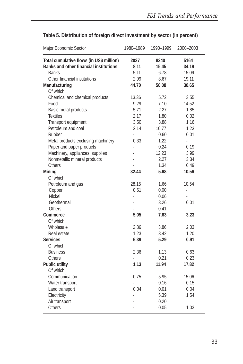| Major Economic Sector                    | 1980-1989     | 1990-1999 | 2000-2003 |
|------------------------------------------|---------------|-----------|-----------|
| Total cumulative flows (in US\$ million) | 2027          | 8340      | 5164      |
| Banks and other financial institutions   | 8.11          | 15.45     | 34.19     |
| <b>Banks</b>                             | 5.11          | 6.78      | 15.09     |
| Other financial institutions             | 2.99          | 8.67      | 19.11     |
| Manufacturing                            | 44.70         | 50.08     | 30.65     |
| Of which:                                |               |           |           |
| Chemical and chemical products           | 13.36         | 5.72      | 3.55      |
| Food                                     | 9.29          | 7.10      | 14.52     |
| Basic metal products                     | 5.71          | 2.27      | 1.85      |
| <b>Textiles</b>                          | 2.17          | 1.80      | 0.02      |
| Transport equipment                      | 3.50          | 3.88      | 1.16      |
| Petroleum and coal                       | 2.14          | 10.77     | 1.23      |
| Rubber                                   | ä,            | 0.60      | 0.01      |
| Metal products exclusing machinery       | 0.33          | 1.22      |           |
| Paper and paper products                 | L             | 0.24      | 0.19      |
| Machinery, appliances, supplies          |               | 12.23     | 3.99      |
| Nonmetallic mineral products             |               | 2.27      | 3.34      |
| Others                                   |               | 1.34      | 0.49      |
| Mining                                   | 32.44         | 5.68      | 10.56     |
| Of which:                                |               |           |           |
| Petroleum and gas                        | 28.15         | 1.66      | 10.54     |
| Copper                                   | 0.51          | 0.00      | l,        |
| Nickel                                   | $\frac{1}{2}$ | 0.06      |           |
| Geothermal                               | ä,            | 3.26      | 0.01      |
| Others                                   |               | 0.41      |           |
| Commerce                                 | 5.05          | 7.63      | 3.23      |
| Of which:                                |               |           |           |
| Wholesale                                | 2.86          | 3.86      | 2.03      |
| Real estate                              | 1.23          | 3.42      | 1.20      |
| <b>Services</b>                          | 6.39          | 5.29      | 0.91      |
| Of which:                                |               |           |           |
| <b>Business</b>                          | 2.36          | 1.13      | 0.63      |
| Others                                   |               | 0.21      | 0.23      |
| Public utility                           | 1.13          | 11.94     | 17.82     |
| Of which:                                |               |           |           |
| Communication                            | 0.75          | 5.95      | 15.06     |
| Water transport                          | ä,            | 0.16      | 0.15      |
| Land transport                           | 0.04          | 0.01      | 0.04      |
| Electricity                              |               | 5.39      | 1.54      |
| Air transport                            |               | 0.20      |           |
| <b>Others</b>                            |               | 0.05      | 1.03      |

### **Table 5. Distribution of foreign direct investment by sector (in percent)**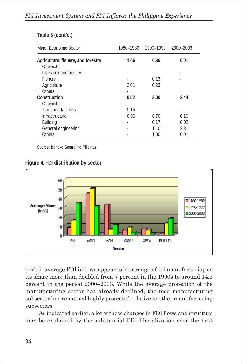| Major Economic Sector                           | 1980-1989 | 1990-1999 | 2000-2003 |
|-------------------------------------------------|-----------|-----------|-----------|
| Agriculture, fishery, and forestry<br>Of which: | 1.66      | 0.36      | 0.01      |
| Livestock and poultry                           | ٠         |           |           |
| Fishery                                         |           | 0.13      |           |
| Agriculture                                     | 2.01      | 0.23      |           |
| <b>Others</b>                                   | ٠         |           |           |
| Construction                                    | 0.52      | 3.00      | 2.44      |
| Of which:                                       |           |           |           |
| <b>Transport facilities</b>                     | 0.15      |           |           |
| Infrastructure                                  | 0.66      | 0.70      | 0.10      |
| <b>Building</b>                                 | ٠         | 0.17      | 0.02      |
| General engineering                             |           | 1.10      | 2.31      |
| Others                                          |           | 1.00      | 0.01      |

#### **Table 5 (cont'd.)**

Source: Bangko Sentral ng Pilipinas

**Figure 4. FDI distribution by sector**



period, average FDI inflows appear to be strong in food manufacturing as its share more than doubled from 7 percent in the 1990s to around 14.5 percent in the period 2000–2003. While the average protection of the manufacturing sector has already declined, the food manufacturing subsector has remained highly protected relative to other manufacturing subsectors.

As indicated earlier, a lot of these changes in FDI flows and structure may be explained by the substantial FDI liberalization over the past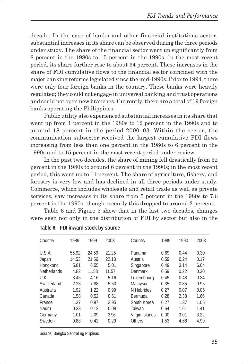decade. In the case of banks and other financial institutions sector, substantial increases in its share can be observed during the three periods under study. The share of the financial sector went up significantly from 8 percent in the 1980s to 15 percent in the 1990s. In the most recent period, its share further rose to about 34 percent. These increases in the share of FDI cumulative flows to the financial sector coincided with the major banking reforms legislated since the mid-1990s. Prior to 1994, there were only four foreign banks in the country. These banks were heavily regulated; they could not engage in universal banking and trust operations and could not open new branches. Currently, there are a total of 19 foreign banks operating the Philippines.

Public utility also experienced substantial increases in its share that went up from 1 percent in the 1980s to 12 percent in the 1990s and to around 18 percent in the period 2000–03. Within the sector, the communication subsector received the largest cumulative FDI flows increasing from less than one percent in the 1980s to 6 percent in the 1990s and to 15 percent in the most recent period under review.

In the past two decades, the share of mining fell drastically from 32 percent in the 1980s to around 6 percent in the 1990s; in the most recent period, this went up to 11 percent. The share of agriculture, fishery, and forestry is very low and has declined in all three periods under study. Commerce, which includes wholesale and retail trade as well as private services, saw increases in its share from 5 percent in the 1980s to 7.6 percent in the 1990s, though recently this dropped to around 3 percent.

Table 6 and Figure 5 show that in the last two decades, changes were seen not only in the distribution of FDI by sector but also in the

| Country            | 1989  | 1999  | 2003  | Country        | 1989 | 1990 | 2003 |
|--------------------|-------|-------|-------|----------------|------|------|------|
| U.S.A.             | 55.92 | 24.59 | 21.25 | Panama         | 0.69 | 0.44 | 0.30 |
| Japan              | 14.53 | 21.56 | 22.13 | Austria        | 0.59 | 0.24 | 0.17 |
| Hongkong           | 5.81  | 6.55  | 5.01  | Singapore      | 0.49 | 3.14 | 6.04 |
| <b>Netherlands</b> | 4.82  | 11.53 | 11.57 | Denmark        | 0.59 | 0.22 | 0.30 |
| U.K.               | 3.45  | 4.16  | 5.16  | Luxembourg     | 0.45 | 0.48 | 0.34 |
| Switzerland        | 2.23  | 7.88  | 5.50  | Malaysia       | 0.35 | 0.85 | 0.95 |
| Australia          | 1.92  | 1.22  | 0.99  | N Hebrides     | 0.27 | 0.07 | 0.05 |
| Canada             | 1.58  | 0.52  | 0.61  | Bermuda        | 0.28 | 2.38 | 1.66 |
| France             | 1.37  | 0.87  | 2.95  | South Korea    | 0.27 | 1.37 | 1.05 |
| Nauru              | 0.33  | 0.12  | 0.08  | Taiwan         | 0.64 | 1.61 | 1.41 |
| Germany            | 1.01  | 2.09  | 3.96  | Virgin Islands | 0.00 | 3.01 | 3.22 |
| Sweden             | 0.88  | 0.42  | 0.29  | Others         | 1.53 | 4.68 | 4.99 |

**Table 6. FDI inward stock by source**

Source: Bangko Sentral ng Pilipinas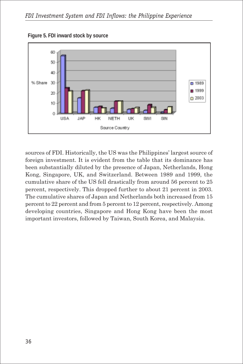

**Figure 5. FDI inward stock by source**

sources of FDI. Historically, the US was the Philippines' largest source of foreign investment. It is evident from the table that its dominance has been substantially diluted by the presence of Japan, Netherlands, Hong Kong, Singapore, UK, and Switzerland. Between 1989 and 1999, the cumulative share of the US fell drastically from around 56 percent to 25 percent, respectively. This dropped further to about 21 percent in 2003. The cumulative shares of Japan and Netherlands both increased from 15 percent to 22 percent and from 5 percent to 12 percent, respectively. Among developing countries, Singapore and Hong Kong have been the most important investors, followed by Taiwan, South Korea, and Malaysia.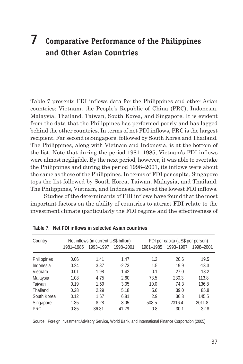# **7 Comparative Performance of the Philippines and Other Asian Countries**

Table 7 presents FDI inflows data for the Philippines and other Asian countries: Vietnam, the People's Republic of China (PRC), Indonesia, Malaysia, Thailand, Taiwan, South Korea, and Singapore. It is evident from the data that the Philippines has performed poorly and has lagged behind the other countries. In terms of net FDI inflows, PRC is the largest recipient. Far second is Singapore, followed by South Korea and Thailand. The Philippines, along with Vietnam and Indonesia, is at the bottom of the list. Note that during the period 1981–1985, Vietnam's FDI inflows were almost negligible. By the next period, however, it was able to overtake the Philippines and during the period 1998–2001, its inflows were about the same as those of the Philippines. In terms of FDI per capita, Singapore tops the list followed by South Korea, Taiwan, Malaysia, and Thailand. The Philippines, Vietnam, and Indonesia received the lowest FDI inflows.

Studies of the determinants of FDI inflows have found that the most important factors on the ability of countries to attract FDI relate to the investment climate (particularly the FDI regime and the effectiveness of

| Country     |           | Net inflows (in current US\$ billion) |           |           | FDI per capita (US\$ per person) |           |  |  |
|-------------|-----------|---------------------------------------|-----------|-----------|----------------------------------|-----------|--|--|
|             | 1981-1985 | 1993-1997                             | 1998-2001 | 1981-1985 | 1993-1997                        | 1998-2001 |  |  |
| Philippines | 0.06      | 1.41                                  | 1.47      | 1.2       | 20.6                             | 19.5      |  |  |
| Indonesia   | 0.24      | 3.87                                  | $-2.73$   | 1.5       | 19.9                             | $-13.3$   |  |  |
| Vietnam     | 0.01      | 1.98                                  | 1.42      | 0.1       | 27.0                             | 18.2      |  |  |
| Malaysia    | 1.08      | 4.75                                  | 2.60      | 73.5      | 230.3                            | 113.8     |  |  |
| Taiwan      | 0.19      | 1.59                                  | 3.05      | 10.0      | 74.3                             | 136.8     |  |  |
| Thailand    | 0.28      | 2.29                                  | 5.18      | 5.6       | 39.0                             | 85.8      |  |  |
| South Korea | 0.12      | 1.67                                  | 6.81      | 2.9       | 36.8                             | 145.5     |  |  |
| Singapore   | 1.35      | 8.28                                  | 8.05      | 508.5     | 2316.4                           | 2011.8    |  |  |
| <b>PRC</b>  | 0.85      | 36.31                                 | 41.29     | 0.8       | 30.1                             | 32.8      |  |  |

**Table 7. Net FDI inflows in selected Asian countries**

Source: Foreign Investment Advisory Service, World Bank, and International Finance Corporation (2005)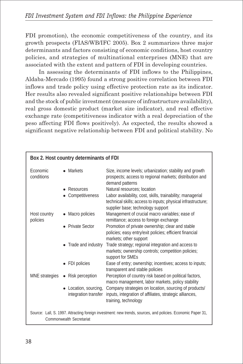FDI promotion), the economic competitiveness of the country, and its growth prospects (FIAS/WB/IFC 2005). Box 2 summarizes three major determinants and factors consisting of economic conditions, host country policies, and strategies of multinational enterprises (MNE) that are associated with the extent and pattern of FDI in developing countries.

In assessing the determinants of FDI inflows to the Philippines, Aldaba-Mercado (1995) found a strong positive correlation between FDI inflows and trade policy using effective protection rate as its indicator. Her results also revealed significant positive relationships between FDI and the stock of public investment (measure of infrastructure availability), real gross domestic product (market size indicator), and real effective exchange rate (competitiveness indicator with a real depreciation of the peso affecting FDI flows positively). As expected, the results showed a significant negative relationship between FDI and political stability. No

|                                                                                                                                         | Box 2. Host country determinants of FDI       |                                                                                                                                                                                                |  |  |  |  |
|-----------------------------------------------------------------------------------------------------------------------------------------|-----------------------------------------------|------------------------------------------------------------------------------------------------------------------------------------------------------------------------------------------------|--|--|--|--|
| Economic<br>conditions                                                                                                                  | • Markets                                     | Size, income levels; urbanization; stability and growth<br>prospects; access to regional markets; distribution and<br>demand patterns                                                          |  |  |  |  |
|                                                                                                                                         | • Resources<br>• Competitiveness              | Natural resources; location<br>Labor availability, cost, skills, trainability; managerial<br>technical skills; access to inputs; physical infrastructure;<br>supplier base; technology support |  |  |  |  |
| Host country<br>policies                                                                                                                | • Macro policies                              | Management of crucial macro variables; ease of<br>remittance; access to foreign exchange                                                                                                       |  |  |  |  |
|                                                                                                                                         | • Private Sector                              | Promotion of private ownership; clear and stable<br>policies; easy entry/exit policies; efficient financial<br>markets; other support                                                          |  |  |  |  |
|                                                                                                                                         | • Trade and industry                          | Trade strategy; regional integration and access to<br>markets; ownership controls; competition policies;<br>support for SMEs                                                                   |  |  |  |  |
|                                                                                                                                         | • FDI policies                                | Ease of entry; ownership; incentives; access to inputs;<br>transparent and stable policies                                                                                                     |  |  |  |  |
| <b>MNE</b> strategies                                                                                                                   | • Risk perception                             | Perception of country risk based on political factors,<br>macro management, labor markets, policy stability                                                                                    |  |  |  |  |
|                                                                                                                                         | • Location, sourcing,<br>integration transfer | Company strategies on location, sourcing of products/<br>inputs, integration of affiliates, strategic alliances,<br>training, technology                                                       |  |  |  |  |
| Source: Lall, S. 1997. Attracting foreign investment: new trends, sources, and policies. Economic Paper 31,<br>Commonwealth Secretariat |                                               |                                                                                                                                                                                                |  |  |  |  |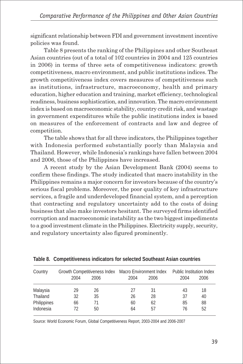significant relationship between FDI and government investment incentive policies was found.

Table 8 presents the ranking of the Philippines and other Southeast Asian countries (out of a total of 102 countries in 2004 and 125 countries in 2006) in terms of three sets of competitiveness indicators: growth competitiveness, macro environment, and public institutions indices. The growth competitiveness index covers measures of competitiveness such as institutions, infrastructure, macroeconomy, health and primary education, higher education and training, market efficiency, technological readiness, business sophistication, and innovation. The macro environment index is based on macroeconomic stability, country credit risk, and wastage in government expenditures while the public institutions index is based on measures of the enforcement of contracts and law and degree of competition.

The table shows that for all three indicators, the Philippines together with Indonesia performed substantially poorly than Malaysia and Thailand. However, while Indonesia's rankings have fallen between 2004 and 2006, those of the Philippines have increased.

A recent study by the Asian Development Bank (2004) seems to confirm these findings. The study indicated that macro instability in the Philippines remains a major concern for investors because of the country's serious fiscal problems. Moreover, the poor quality of key infrastructure services, a fragile and underdeveloped financial system, and a perception that contracting and regulatory uncertainty add to the costs of doing business that also make investors hesitant. The surveyed firms identified corruption and macroeconomic instability as the two biggest impediments to a good investment climate in the Philippines. Electricity supply, security, and regulatory uncertainty also figured prominently.

| Country     | 2004 | Growth Competitiveness Index Macro Environment Index<br>2006 | 2004 | 2006 | Public Institution Index<br>2004 | 2006 |
|-------------|------|--------------------------------------------------------------|------|------|----------------------------------|------|
| Malaysia    | 29   | 26                                                           | 27   | 31   | 43                               | 18   |
| Thailand    | 32   | 35                                                           | 26   | 28   | 37                               | 40   |
| Philippines | 66   | 71                                                           | 60   | 62   | 85                               | 88   |
| Indonesia   | 72   | 50                                                           | 64   | 57   | 76                               | 52   |

**Table 8. Competitiveness indicators for selected Southeast Asian countries**

Source: World Economic Forum, Global Competitiveness Report, 2003-2004 and 2006-2007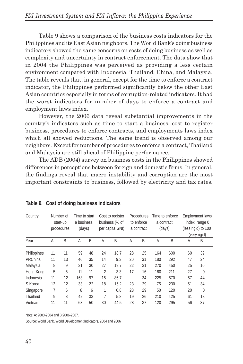Table 9 shows a comparison of the business costs indicators for the Philippines and its East Asian neighbors. The World Bank's doing business indicators showed the same concerns on costs of doing business as well as complexity and uncertainty in contract enforcement. The data show that in 2004 the Philippines was perceived as providing a less certain environment compared with Indonesia, Thailand, China, and Malaysia. The table reveals that, in general, except for the time to enforce a contract indicator, the Philippines performed significantly below the other East Asian countries especially in terms of corruption-related indicators. It had the worst indicators for number of days to enforce a contract and employment laws index.

However, the 2006 data reveal substantial improvements in the country's indicators such as time to start a business, cost to register business, procedures to enforce contracts, and employments laws index which all showed reductions. The same trend is observed among our neighbors. Except for number of procedures to enforce a contract, Thailand and Malaysia are still ahead of Philippine performance.

The ADB (2004) survey on business costs in the Philippines showed differences in perceptions between foreign and domestic firms. In general, the findings reveal that macro instability and corruption are the most important constraints to business, followed by electricity and tax rates.

| Country     |    | Number of<br>start-up<br>procedures | Time to start<br>a business<br>(days) |    |                          | Cost to register<br>business (% of<br>per capita GNI) |    | <b>Procedures</b><br>to enforce<br>a contract | a contract<br>(days) | Time to enforce |    | <b>Employment laws</b><br>index: range 0<br>(less rigid) to 100<br>(very rigid) |
|-------------|----|-------------------------------------|---------------------------------------|----|--------------------------|-------------------------------------------------------|----|-----------------------------------------------|----------------------|-----------------|----|---------------------------------------------------------------------------------|
| Year        | A  | B                                   | A                                     | B  | A                        | B                                                     | A  | B                                             | A                    | B               | A  | B                                                                               |
| Philippines | 11 | 11                                  | 59                                    | 48 | 24                       | 18.7                                                  | 28 | 25                                            | 164                  | 600             | 60 | 39                                                                              |
| PRChina     | 11 | 13                                  | 46                                    | 35 | 14                       | 9.3                                                   | 20 | 31                                            | 180                  | 292             | 47 | 24                                                                              |
| Malaysia    | 8  | 9                                   | 31                                    | 30 | 27                       | 19.7                                                  | 22 | 31                                            | 270                  | 450             | 25 | 10                                                                              |
| Hong Kong   | 5  | 5                                   | 11                                    | 11 | $\overline{\mathcal{L}}$ | 3.3                                                   | 17 | 16                                            | 180                  | 211             | 27 | $\theta$                                                                        |
| Indonesia   | 11 | 12                                  | 168                                   | 97 | 15                       | 86.7                                                  | ٠  | 34                                            | 225                  | 570             | 57 | 44                                                                              |
| S Korea     | 12 | 12                                  | 33                                    | 22 | 18                       | 15.2                                                  | 23 | 29                                            | 75                   | 230             | 51 | 34                                                                              |
| Singapore   | 7  | 6                                   | 8                                     | 6  | 1                        | 0.8                                                   | 23 | 29                                            | 50                   | 120             | 20 | $\Omega$                                                                        |
| Thailand    | 9  | 8                                   | 42                                    | 33 | 7                        | 5.8                                                   | 19 | 26                                            | 210                  | 425             | 61 | 18                                                                              |
| Vietnam     | 11 | 11                                  | 63                                    | 50 | 30                       | 44.5                                                  | 28 | 37                                            | 120                  | 295             | 56 | 37                                                                              |

|  |  |  |  | Table 9. Cost of doing business indicators |
|--|--|--|--|--------------------------------------------|
|--|--|--|--|--------------------------------------------|

Note: A: 2003-2004 and B:2006-2007.

Source: World Bank, World Development Indicators, 2004 and 2006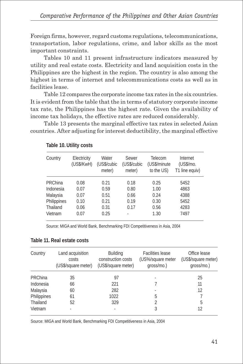Foreign firms, however, regard customs regulations, telecommunications, transportation, labor regulations, crime, and labor skills as the most important constraints.

Tables 10 and 11 present infrastructure indicators measured by utility and real estate costs. Electricity and land acquisition costs in the Philippines are the highest in the region. The country is also among the highest in terms of internet and telecommunications costs as well as in facilities lease.

Table 12 compares the corporate income tax rates in the six countries. It is evident from the table that the in terms of statutory corporate income tax rate, the Philippines has the highest rate. Given the availability of income tax holidays, the effective rates are reduced considerably.

Table 13 presents the marginal effective tax rates in selected Asian countries. After adjusting for interest deductibility, the marginal effective

| Country     | Electricity<br>(US\$/KwH) | Water<br>(US\$/cubic<br>meter) | Sewer<br>(US\$/cubic<br>meter) | Telecom<br>(US\$/minute)<br>to the US) | Internet<br>(US\$/mo.<br>T1 line equiv) |
|-------------|---------------------------|--------------------------------|--------------------------------|----------------------------------------|-----------------------------------------|
| PRChina     | 0.08                      | 0.21                           | 0.18                           | 0.25                                   | 5452                                    |
| Indonesia   | 0.07                      | 0.59                           | 0.80                           | 1.00                                   | 4863                                    |
| Malaysia    | 0.07                      | 0.51                           | 0.66                           | 0.24                                   | 4388                                    |
| Philippines | 0.10                      | 0.21                           | 0.19                           | 0.30                                   | 5452                                    |
| Thailand    | 0.06                      | 0.31                           | 0.17                           | 0.56                                   | 4283                                    |
| Vietnam     | 0.07                      | 0.25                           | ٠                              | 1.30                                   | 7497                                    |

#### **Table 10. Utility costs**

Source: MIGA and World Bank, Benchmarking FDI Competitiveness in Asia, 2004

|  | Table 11. Real estate costs |  |
|--|-----------------------------|--|
|  |                             |  |

| Country     | Land acquisition<br>costs<br>(US\$/square meter) | <b>Building</b><br>construction costs<br>(US\$/square meter) | <b>Facilities lease</b><br>(US%/square meter<br>gross/mo.) | Office lease<br>(US\$/square meter)<br>gross/mo.) |
|-------------|--------------------------------------------------|--------------------------------------------------------------|------------------------------------------------------------|---------------------------------------------------|
| PRChina     | 35                                               | 97                                                           |                                                            | 25                                                |
| Indonesia   | 66                                               | 221                                                          |                                                            | 11                                                |
| Malaysia    | 60                                               | 282                                                          |                                                            | 12                                                |
| Philippines | 61                                               | 1022                                                         | 5                                                          |                                                   |
| Thailand    | 52                                               | 329                                                          | 2                                                          | 5                                                 |
| Vietnam     |                                                  |                                                              | 3                                                          | 12                                                |

Source: MIGA and World Bank, Benchmarking FDI Competitiveness in Asia, 2004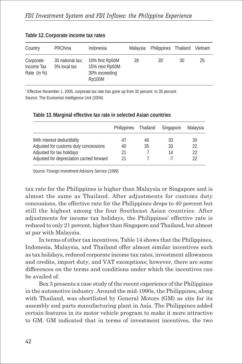| Country                                  | <b>PRChina</b>                   | Indonesia                                                    | Malavsia | Philippines Thailand Vietnam |    |    |
|------------------------------------------|----------------------------------|--------------------------------------------------------------|----------|------------------------------|----|----|
| Corporate<br>Income Tax<br>Rate $(in %)$ | 30 national tax;<br>3% local tax | 10% first Rp50M<br>15% next Rp50M<br>30% exceeding<br>Rp100M | 28       | $35^{\degree}$               | 30 | 25 |

#### **Table 12. Corporate income tax rates**

\* Effective November 1, 2005, corporate tax rate has gone up from 32 percent to 35 percent. Source: The Economist Intelligence Unit (2004)

|    |    | Singapore            | Malaysia |
|----|----|----------------------|----------|
| 41 | 46 | 33                   | 30       |
| 40 | 35 | 33                   | 22       |
| 21 |    | 14                   | 22       |
| 21 |    | - 7                  | 22       |
|    |    | Philippines Thailand |          |

#### **Table 13. Marginal effective tax rate in selected Asian countries**

Source: Foreign Investment Advisory Service (1999)

tax rate for the Philippines is higher than Malaysia or Singapore and is almost the same as Thailand. After adjustments for customs duty concessions, the effective rate for the Philippines drops to 40 percent but still the highest among the four Southeast Asian countries. After adjustments for income tax holidays, the Philippines' effective rate is reduced to only 21 percent, higher than Singapore and Thailand, but almost at par with Malaysia.

In terms of other tax incentives, Table 14 shows that the Philippines, Indonesia, Malaysia, and Thailand offer almost similar incentives such as tax holidays, reduced corporate income tax rates, investment allowances and credits, import duty, and VAT exemptions; however, there are some differences on the terms and conditions under which the incentives can be availed of.

Box 3 presents a case study of the recent experience of the Philippines in the automotive industry. Around the mid-1990s, the Philippines, along with Thailand, was shortlisted by General Motors (GM) as site for its assembly and parts manufacturing plant in Asia. The Philippines added certain features in its motor vehicle program to make it more attractive to GM. GM indicated that in terms of investment incentives, the two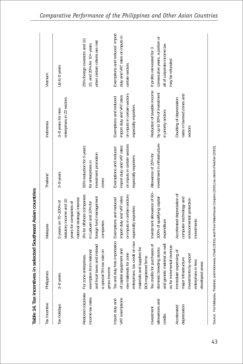| Tax Incentive                           | Philippines                                                                                                                                                                                               | Malaysia                                                                                                  | Thailand                                                                                                    | Indonesia                                                                                                   | Vietnam                                                                                     |
|-----------------------------------------|-----------------------------------------------------------------------------------------------------------------------------------------------------------------------------------------------------------|-----------------------------------------------------------------------------------------------------------|-------------------------------------------------------------------------------------------------------------|-------------------------------------------------------------------------------------------------------------|---------------------------------------------------------------------------------------------|
| Tax holidays                            | 3-8 years                                                                                                                                                                                                 | national strategic interest<br>statutory income and 10<br>5 years on 70-100% of<br>years for companies of | 3-8 years                                                                                                   | enterprises in 22 sectors<br>3-8 years for new                                                              | Up to 8 years                                                                               |
| Reduced corporate<br>income tax rates   | and local taxes and instead<br>a special 5% tax rate on<br>exemption from national<br>For zone enterprises,<br>gross income                                                                               | 3% for offshore companies<br>foreign fund management<br>in Labuan and 10% for<br>companies                | 50% reduction for 5 years<br>investment promotion<br>for enterprises in<br>zones                            |                                                                                                             | 25% foreign investors and 10,<br>when certain criteria are met<br>15, and 20% for 10+ years |
| VAT exemptions<br>Import duty and       | Tax and duty free importation Exemptions and reduced<br>enterprises; tax credit on raw<br>materials and supplies for<br>of capital equipment and<br>raw materials for zone<br><b>BOI-registered firms</b> | on inputs in certain sectors<br>import duty and VAT rates<br>especially exporters                         | on inputs in certain sectors<br>import duty and VAT rates<br>Exemptions and reduced<br>especially exporters | on inputs in certain sectors<br>import duty and VAT rates<br>Exemptions and reduced<br>especially exporters | Exemptions and reduced import<br>duty and VAT rates on inputs in<br>certain sectors         |
| allowances and<br>Investment<br>credits | Tax credits for purchases of<br>and genetic material as well<br>as for incremental revenue<br>domestic breeding stocks                                                                                    | Investment allowance of 60-<br>Allowance of 25% for<br>100% of qualifying capital<br>expenditure          | investment in infrastructure                                                                                | Reduction of taxable income If profits reinvested for 3<br>by up to 30% of investment<br>n priority sectors | consecutive years, a portion or<br>all of corporate income tax<br>may be refunded           |
| depreciation<br>Accelerated             | Immediate expensing of<br>investments by export<br>major infrastructure<br>enterprises in less<br>developed areas                                                                                         | Accelerated depreciation of<br>computer technology and<br>environmental protection<br>investments         |                                                                                                             | rates in favored zones and<br>Doubling of depreciation<br>sectors                                           |                                                                                             |

Table 14. Tax incentives in selected Southeast Asian countries **Table 14. Tax incentives in selected Southeast Asian countries**

Source: For Malaysia, Thailand, and Indonesia, Chalk (2001) and Price Waterhouse Coopers (2001) as cited in Fletcher (2002). Source: For Malaysia, Thailand, and Indonesia, Chalk (2001) and Price Waterhouse Coopers (2001) as cited in Fletcher (2002).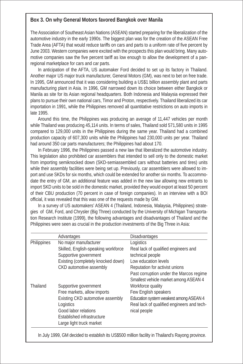# **F** Box 3. On why General Motors favored Bangkok over Manila

The Association of Southeast Asian Nations (ASEAN) started preparing for the liberalization of the automotive industry in the early 1990s. The biggest plan was for the creation of the ASEAN Free Trade Area (AFTA) that would reduce tariffs on cars and parts to a uniform rate of five percent by June 2003. Western companies were excited with the prospects this plan would bring. Many automotive companies saw the five percent tariff as low enough to allow the development of a panregional marketplace for cars and car parts.

In anticipation of the AFTA, US automaker Ford decided to set up its factory in Thailand. Another major US major truck manufacturer, General Motors (GM), was next to bet on free trade. In 1995, GM announced that it was considering building a US\$1 billion assembly plant and parts manufacturing plant in Asia. In 1996, GM narrowed down its choice between either Bangkok or Manila as site for its Asian regional headquarters. Both Indonesia and Malaysia expressed their plans to pursue their own national cars, Timor and Proton, respectively. Thailand liberalized its car importation in 1991, while the Philippines removed all quantitative restrictions on auto imports in late 1995.

Around this time, the Philippines was producing an average of 11,447 vehicles per month while Thailand was producing 45,114 units. In terms of sales, Thailand sold 571,580 units in 1995 compared to 129,000 units in the Philippines during the same year. Thailand had a combined production capacity of 607,300 units while the Philippines had 230,000 units per year. Thailand had around 350 car parts manufacturers; the Philippines had about 170.

In February 1996, the Philippines passed a new law that liberalized the automotive industry. This legislation also prohibited car assemblers that intended to sell only to the domestic market from importing semiknocked down (SKD-semiassembled cars without batteries and tires) units while their assembly facilities were being set up. Previously, car assemblers were allowed to import and use SKDs for six months, which could be extended for another six months. To accommodate the entry of GM, an additional feature was added in the new law allowing new entrants to import SKD units to be sold in the domestic market, provided they would export at least 50 percent of their CBU production (70 percent in case of foreign companies). In an interview with a BOI official, it was revealed that this was one of the requests made by GM.

In a survey of US automakers' ASEAN 4 (Thailand, Indonesia, Malaysia, Philippines) strategies of GM, Ford, and Chrysler (Big Three) conducted by the University of Michigan Transportation Research Institute (1999), the following advantages and disadvantages of Thailand and the Philippines were seen as crucial in the production investments of the Big Three in Asia:

|             | Advantages                          | <b>Disadvantages</b>                       |
|-------------|-------------------------------------|--------------------------------------------|
| Philippines | No major manufacturer               | Logistics                                  |
|             | Skilled, English-speaking workforce | Real lack of qualified engineers and       |
|             | Supportive government               | technical people                           |
|             | Existing (completely knocked down)  | Low education levels                       |
|             | CKD automotive assembly             | Reputation for activist unions             |
|             |                                     | Past corruption under the Marcos regime    |
|             |                                     | Smallest vehicle market among ASEAN 4      |
| Thailand    | Supportive government               | Workforce quality                          |
|             | Free markets, allow imports         | Few English speakers                       |
|             | Existing CKD automotive assembly    | Education system weakest among ASEAN 4     |
|             | Logistics                           | Real lack of qualified engineers and tech- |
|             | Good labor relations                | nical people                               |
|             | Established infrastructure          |                                            |
|             | Large light truck market            |                                            |

In July 1999, GM decided to establish its US\$500 million facility in Thailand's Rayong province.

 $\overline{\phantom{a}}$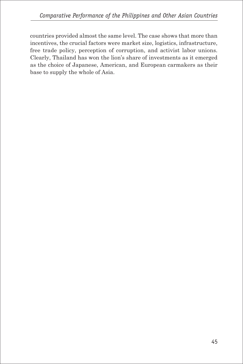countries provided almost the same level. The case shows that more than incentives, the crucial factors were market size, logistics, infrastructure, free trade policy, perception of corruption, and activist labor unions. Clearly, Thailand has won the lion's share of investments as it emerged as the choice of Japanese, American, and European carmakers as their base to supply the whole of Asia.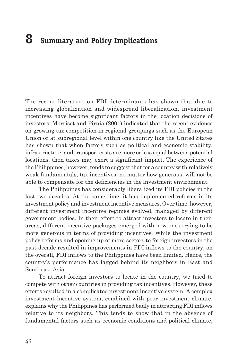# **8 Summary and Policy Implications**

The recent literature on FDI determinants has shown that due to increasing globalization and widespread liberalization, investment incentives have become significant factors in the location decisions of investors. Morriset and Pirnia (2001) indicated that the recent evidence on growing tax competition in regional groupings such as the European Union or at subregional level within one country like the United States has shown that when factors such as political and economic stability, infrastructure, and transport costs are more or less equal between potential locations, then taxes may exert a significant impact. The experience of the Philippines, however, tends to suggest that for a country with relatively weak fundamentals, tax incentives, no matter how generous, will not be able to compensate for the deficiencies in the investment environment.

The Philippines has considerably liberalized its FDI policies in the last two decades. At the same time, it has implemented reforms in its investment policy and investment incentive measures. Over time, however, different investment incentive regimes evolved, managed by different government bodies. In their effort to attract investors to locate in their areas, different incentive packages emerged with new ones trying to be more generous in terms of providing incentives. While the investment policy reforms and opening up of more sectors to foreign investors in the past decade resulted in improvements in FDI inflows to the country, on the overall, FDI inflows to the Philippines have been limited. Hence, the country's performance has lagged behind its neighbors in East and Southeast Asia.

To attract foreign investors to locate in the country, we tried to compete with other countries in providing tax incentives. However, these efforts resulted in a complicated investment incentive system. A complex investment incentive system, combined with poor investment climate, explains why the Philippines has performed badly in attracting FDI inflows relative to its neighbors. This tends to show that in the absence of fundamental factors such as economic conditions and political climate,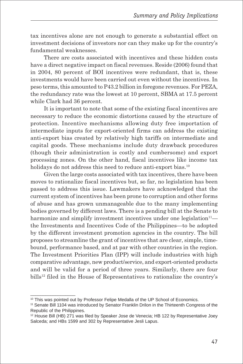tax incentives alone are not enough to generate a substantial effect on investment decisions of investors nor can they make up for the country's fundamental weaknesses.

There are costs associated with incentives and these hidden costs have a direct negative impact on fiscal revenues. Reside (2006) found that in 2004, 80 percent of BOI incentives were redundant, that is, these investments would have been carried out even without the incentives. In peso terms, this amounted to P43.2 billion in foregone revenues. For PEZA, the redundancy rate was the lowest at 10 percent, SBMA at 17.5 percent while Clark had 36 percent.

It is important to note that some of the existing fiscal incentives are necessary to reduce the economic distortions caused by the structure of protection. Incentive mechanisms allowing duty free importation of intermediate inputs for export-oriented firms can address the existing anti-export bias created by relatively high tariffs on intermediate and capital goods. These mechanisms include duty drawback procedures (though their administration is costly and cumbersome) and export processing zones. On the other hand, fiscal incentives like income tax holidays do not address this need to reduce anti-export bias.<sup>10</sup>

Given the large costs associated with tax incentives, there have been moves to rationalize fiscal incentives but, so far, no legislation has been passed to address this issue. Lawmakers have acknowledged that the current system of incentives has been prone to corruption and other forms of abuse and has grown unmanageable due to the many implementing bodies governed by different laws. There is a pending bill at the Senate to harmonize and simplify investment incentives under one legislation $11$  the Investments and Incentives Code of the Philippines—to be adopted by the different investment promotion agencies in the country. The bill proposes to streamline the grant of incentives that are clear, simple, timebound, performance based, and at par with other countries in the region. The Investment Priorities Plan (IPP) will include industries with high comparative advantage, new product/service, and export-oriented products and will be valid for a period of three years. Similarly, there are four bills<sup>12</sup> filed in the House of Representatives to rationalize the country's

 $\_$ 

<sup>&</sup>lt;sup>10</sup> This was pointed out by Professor Felipe Medalla of the UP School of Economics.

<sup>11</sup> Senate Bill 1104 was introduced by Senator Franklin Drilon in the Thirteenth Congress of the Republic of the Philippines.

<sup>&</sup>lt;sup>12</sup> House Bill (HB) 271 was filed by Speaker Jose de Venecia; HB 122 by Representative Joey Salceda; and HBs 1599 and 302 by Representative Jesli Lapus.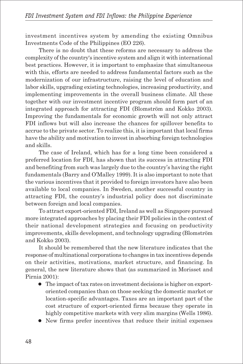investment incentives system by amending the existing Omnibus Investments Code of the Philippines (EO 226).

There is no doubt that these reforms are necessary to address the complexity of the country's incentive system and align it with international best practices. However, it is important to emphasize that simultaneous with this, efforts are needed to address fundamental factors such as the modernization of our infrastructure, raising the level of education and labor skills, upgrading existing technologies, increasing productivity, and implementing improvements in the overall business climate. All these together with our investment incentive program should form part of an integrated approach for attracting FDI (Blomström and Kokko 2003). Improving the fundamentals for economic growth will not only attract FDI inflows but will also increase the chances for spillover benefits to accrue to the private sector. To realize this, it is important that local firms have the ability and motivation to invest in absorbing foreign technologies and skills.

The case of Ireland, which has for a long time been considered a preferred location for FDI, has shown that its success in attracting FDI and benefiting from such was largely due to the country's having the right fundamentals (Barry and O'Malley 1999). It is also important to note that the various incentives that it provided to foreign investors have also been available to local companies. In Sweden, another successful country in attracting FDI, the country's industrial policy does not discriminate between foreign and local companies.

To attract export-oriented FDI, Ireland as well as Singapore pursued more integrated approaches by placing their FDI policies in the context of their national development strategies and focusing on productivity improvements, skills development, and technology upgrading (Blomström and Kokko 2003).

It should be remembered that the new literature indicates that the response of multinational corporations to changes in tax incentives depends on their activities, motivations, market structure, and financing. In general, the new literature shows that (as summarized in Morisset and Pirnia 2001):

- The impact of tax rates on investment decisions is higher on exportoriented companies than on those seeking the domestic market or location-specific advantages. Taxes are an important part of the cost structure of export-oriented firms because they operate in highly competitive markets with very slim margins (Wells 1986).
- New firms prefer incentives that reduce their initial expenses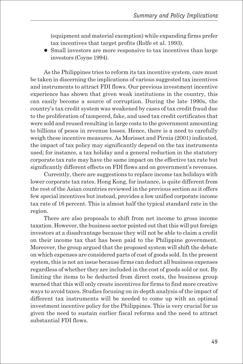(equipment and material exemption) while expanding firms prefer tax incentives that target profits (Rolfe et al. 1993).

• Small investors are more responsive to tax incentives than large investors (Coyne 1994).

As the Philippines tries to reform its tax incentive system, care must be taken in discerning the implications of various suggested tax incentives and instruments to attract FDI flows. Our previous investment incentive experience has shown that given weak institutions in the country, this can easily become a source of corruption. During the late 1990s, the country's tax credit system was weakened by cases of tax credit fraud due to the proliferation of tampered, fake, and used tax credit certificates that were sold and reused resulting in large costs to the government amounting to billions of pesos in revenue losses. Hence, there is a need to carefully weigh these incentive measures. As Morisset and Pirnia (2001) indicated, the impact of tax policy may significantly depend on the tax instruments used; for instance, a tax holiday and a general reduction in the statutory corporate tax rate may have the same impact on the effective tax rate but significantly different effects on FDI flows and on government's revenues.

Currently, there are suggestions to replace income tax holidays with lower corporate tax rates. Hong Kong, for instance, is quite different from the rest of the Asian countries reviewed in the previous section as it offers few special incentives but instead, provides a low unified corporate income tax rate of 16 percent. This is almost half the typical standard rate in the region.

There are also proposals to shift from net income to gross income taxation. However, the business sector pointed out that this will put foreign investors at a disadvantage because they will not be able to claim a credit on their income tax that has been paid to the Philippine government. Moreover, the group argued that the proposed system will shift the debate on which expenses are considered parts of cost of goods sold. In the present system, this is not an issue because firms can deduct all business expenses regardless of whether they are included in the cost of goods sold or not. By limiting the items to be deducted from direct costs, the business group warned that this will only create incentives for firms to find more creative ways to avoid taxes. Studies focusing on in-depth analysis of the impact of different tax instruments will be needed to come up with an optimal investment incentive policy for the Philippines. This is very crucial for us given the need to sustain earlier fiscal reforms and the need to attract substantial FDI flows.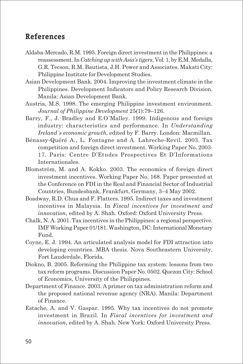## **References**

- Aldaba-Mercado, R.M. 1995. Foreign direct investment in the Philippines: a reassessment. In *Catching up with Asia's tigers*, Vol. 1, by E.M. Medalla, G.R. Tecson, R.M. Bautista, J.H. Power and Associates. Makati City: Philippine Institute for Development Studies.
- Asian Development Bank. 2004. Improving the investment climate in the Philippines. Development Indicators and Policy Research Division. Manila: Asian Development Bank.
- Austria, M.S. 1998. The emerging Philippine investment environment. *Journal of Philippine Development* 25(1):79–126.
- Barry, F., J. Bradley and E.O´Malley. 1999. Indigenous and foreign industry: characteristics and performance. In *Understanding Ireland´s economic growth*, edited by F. Barry. London: Macmillan.
- Bénassy-Quéré A., L. Fontagne and A. Lahreche-Revil. 2003. Tax competition and foreign direct investment. Working Paper No. 2003- 17. Paris: Centre D'Etudes Prospectives Et D'Informations Internationales.
- Blomström, M. and A. Kokko. 2003. The economics of foreign direct investment incentives. Working Paper No. 168. Paper presented at the Conference on FDI in the Real and Financial Sector of Industrial Countries, Bundesbank, Frankfurt, Germany, 3–4 May 2002.
- Boadway, R.D. Chua and F. Flatters. 1995. Indirect taxes and investment incentives in Malaysia. In *Fiscal incentives for investment and innovation*, edited by A. Shah. Oxford: Oxford University Press.
- Chalk, N. A. 2001. Tax incentives in the Philippines: a regional perspective. IMF Working Paper 01/181. Washington, DC: International Monetary Fund.
- Coyne, E. J. 1994. An articulated analysis model for FDI attraction into developing countries. MBA thesis. Nova Southeastern University, Fort Lauderdale, Florida.
- Diokno, B. 2005. Reforming the Philippine tax system: lessons from two tax reform programs. Discussion Paper No. 0502. Quezon City: School of Economics, University of the Philippines.
- Department of Finance. 2003. A primer on tax administration reform and the proposed national revenue agency (NRA). Manila: Department of Finance.
- Estache, A. and V. Gaspar. 1995. Why tax incentives do not promote investment in Brazil. In *Fiscal incentives for investment and innovation*, edited by A. Shah. New York: Oxford University Press.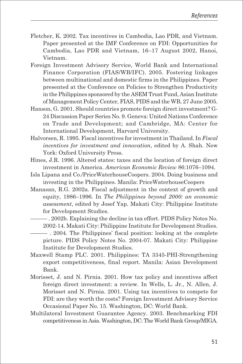- Fletcher, K. 2002. Tax incentives in Cambodia, Lao PDR, and Vietnam. Paper presented at the IMF Conference on FDI: Opportunities for Cambodia, Lao PDR and Vietnam, 16–17 August 2002, Hanoi, Vietnam.
- Foreign Investment Advisory Service, World Bank and International Finance Corporation (FIAS/WB/IFC). 2005. Fostering linkages between multinational and domestic firms in the Philippines. Paper presented at the Conference on Policies to Strengthen Productivity in the Philippines sponsored by the ASEM Trust Fund, Asian Institute of Management Policy Center, FIAS, PIDS and the WB, 27 June 2005.
- Hanson, G. 2001. Should countries promote foreign direct investment? G-24 Discussion Paper Series No. 9. Geneva: United Nations Conference on Trade and Development; and Cambridge, MA: Center for International Development, Harvard University.
- Halvorsen, R. 1995. Fiscal incentives for investment in Thailand. In *Fiscal incentives for investment and innovation*, edited by A. Shah. New York: Oxford University Press.
- Hines, J.R. 1996. Altered states: taxes and the location of foreign direct investment in America. *American Economic Review* 86:1076–1094.
- Isla Lipana and Co./PriceWaterhouseCoopers. 2004. Doing business and investing in the Philippines. Manila: PriceWaterhouseCoopers
- Manasan, R.G. 2002a. Fiscal adjustment in the context of growth and equity, 1986–1996. In *The Philippines beyond 2000: an economic assessment*, edited by Josef Yap. Makati City: Philippine Institute for Development Studies.
	- ——— . 2002b. Explaining the decline in tax effort. PIDS Policy Notes No. 2002-14. Makati City: Philippine Institute for Development Studies.
- ——— . 2004. The Philippines' fiscal position: looking at the complete picture. PIDS Policy Notes No. 2004-07. Makati City: Philippine Institute for Development Studies.
- Maxwell Stamp PLC. 2001. Philippines: TA 3345-PHI-Strengthening export competitiveness, final report. Manila: Asian Development Bank.
- Morisset, J. and N. Pirnia. 2001. How tax policy and incentives affect foreign direct investment: a review. In Wells, L. Jr., N. Allen, J. Morisset and N. Pirnia. 2001. Using tax incentives to compete for FDI: are they worth the costs? Foreign Investment Advisory Service Occasional Paper No. 15. Washington, DC: World Bank.
- Multilateral Investment Guarantee Agency. 2003. Benchmarking FDI competitiveness in Asia. Washington, DC: The World Bank Group/MIGA.